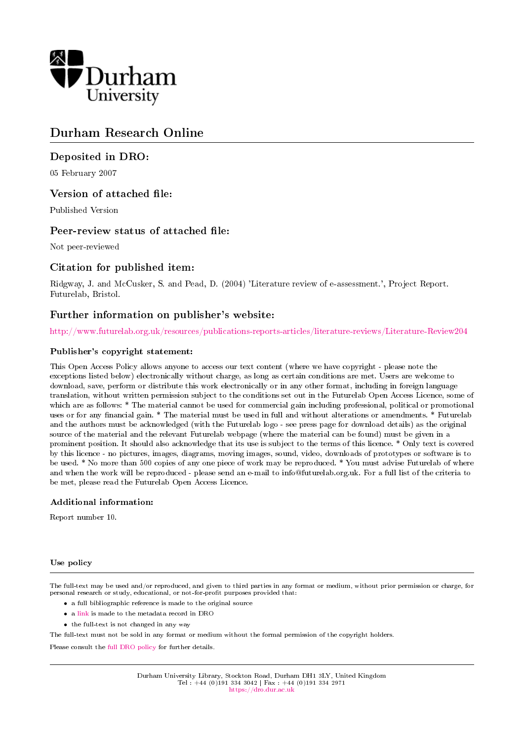

## Durham Research Online

## Deposited in DRO:

05 February 2007

## Version of attached file:

Published Version

## Peer-review status of attached file:

Not peer-reviewed

## Citation for published item:

Ridgway, J. and McCusker, S. and Pead, D. (2004) 'Literature review of e-assessment.', Project Report. Futurelab, Bristol.

## Further information on publisher's website:

<http://www.futurelab.org.uk/resources/publications-reports-articles/literature-reviews/Literature-Review204>

#### Publisher's copyright statement:

This Open Access Policy allows anyone to access our text content (where we have copyright - please note the exceptions listed below) electronically without charge, as long as certain conditions are met. Users are welcome to download, save, perform or distribute this work electronically or in any other format, including in foreign language translation, without written permission subject to the conditions set out in the Futurelab Open Access Licence, some of which are as follows: \* The material cannot be used for commercial gain including professional, political or promotional uses or for any financial gain. \* The material must be used in full and without alterations or amendments. \* Futurelab and the authors must be acknowledged (with the Futurelab logo - see press page for download details) as the original source of the material and the relevant Futurelab webpage (where the material can be found) must be given in a prominent position. It should also acknowledge that its use is subject to the terms of this licence. \* Only text is covered by this licence - no pictures, images, diagrams, moving images, sound, video, downloads of prototypes or software is to be used. \* No more than 500 copies of any one piece of work may be reproduced. \* You must advise Futurelab of where and when the work will be reproduced - please send an e-mail to info@futurelab.org.uk. For a full list of the criteria to be met, please read the Futurelab Open Access Licence.

#### Additional information:

Report number 10.

#### Use policy

The full-text may be used and/or reproduced, and given to third parties in any format or medium, without prior permission or charge, for personal research or study, educational, or not-for-profit purposes provided that:

- a full bibliographic reference is made to the original source
- a [link](http://dro.dur.ac.uk/1929/) is made to the metadata record in DRO
- the full-text is not changed in any way

The full-text must not be sold in any format or medium without the formal permission of the copyright holders.

Please consult the [full DRO policy](https://dro.dur.ac.uk/policies/usepolicy.pdf) for further details.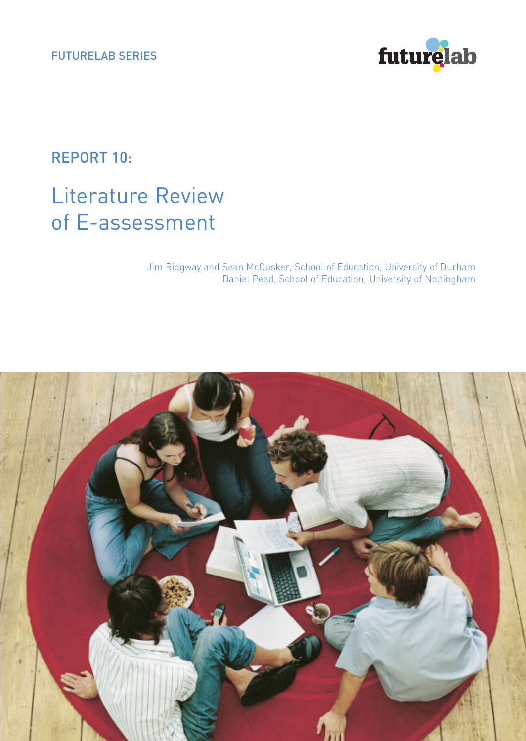

REPORT 10:

# Literature Review of E-assessment

Jim Ridgway and Sean McCusker, School of Education, University of Durham Daniel Pead, School of Education, University of Nottingham

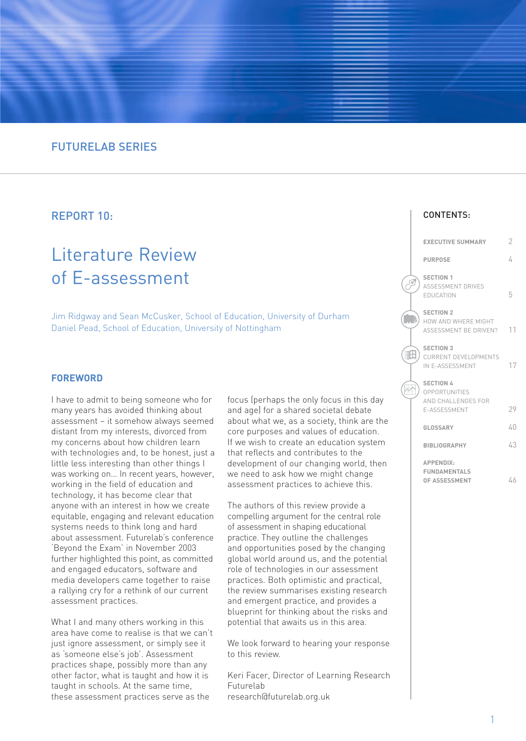## FUTURELAB SERIES

## REPORT 10:

## Literature Review of E-assessment

Jim Ridgway and Sean McCusker, School of Education, University of Durham Daniel Pead, School of Education, University of Nottingham

#### **FOREWORD**

I have to admit to being someone who for many years has avoided thinking about assessment – it somehow always seemed distant from my interests, divorced from my concerns about how children learn with technologies and, to be honest, just a little less interesting than other things I was working on… In recent years, however, working in the field of education and technology, it has become clear that anyone with an interest in how we create equitable, engaging and relevant education systems needs to think long and hard about assessment. Futurelab's conference 'Beyond the Exam' in November 2003 further highlighted this point, as committed and engaged educators, software and media developers came together to raise a rallying cry for a rethink of our current assessment practices.

What I and many others working in this area have come to realise is that we can't just ignore assessment, or simply see it as 'someone else's job'. Assessment practices shape, possibly more than any other factor, what is taught and how it is taught in schools. At the same time, these assessment practices serve as the

focus (perhaps the only focus in this day and age) for a shared societal debate about what we, as a society, think are the core purposes and values of education. If we wish to create an education system that reflects and contributes to the development of our changing world, then we need to ask how we might change assessment practices to achieve this.

The authors of this review provide a compelling argument for the central role of assessment in shaping educational practice. They outline the challenges and opportunities posed by the changing global world around us, and the potential role of technologies in our assessment practices. Both optimistic and practical, the review summarises existing research and emergent practice, and provides a blueprint for thinking about the risks and potential that awaits us in this area.

We look forward to hearing your response to this review.

Keri Facer, Director of Learning Research Futurelab research@futurelab.org.uk

| <b>EXECUTIVE SUMMARY</b>                                                        | 2  |
|---------------------------------------------------------------------------------|----|
| <b>PURPOSE</b>                                                                  | 4  |
| <b>SECTION 1</b><br><b>ASSESSMENT DRIVES</b><br>EDUCATION                       | 5  |
| <b>SECTION 2</b><br>HOW AND WHERE MIGHT<br>ASSESSMENT BE DRIVEN?                | 11 |
| <b>SECTION 3</b><br><b>CURRENT DEVELOPMENTS</b><br>IN E-ASSESSMENT              | 17 |
| <b>SECTION 4</b><br><b>OPPORTUNITIES</b><br>AND CHALL ENGES FOR<br>E-ASSESSMENT | 29 |
| GLOSSARY                                                                        | 40 |
| <b>BIBLIOGRAPHY</b>                                                             | 43 |
| <b>APPENDIX:</b><br><b>FUNDAMENTALS</b><br>OF ASSESSMENT                        | 46 |

 $\overline{\mathbb{R}}$ 

CONTENTS: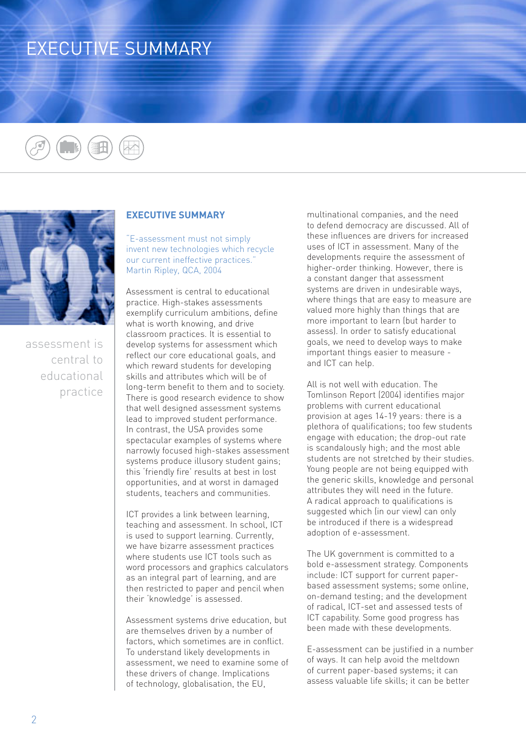# EXECUTIVE SUMMARY





assessment is central to educational practice

### **EXECUTIVE SUMMARY**

"E-assessment must not simply invent new technologies which recycle our current ineffective practices." Martin Ripley, QCA, 2004

Assessment is central to educational practice. High-stakes assessments exemplify curriculum ambitions, define what is worth knowing, and drive classroom practices. It is essential to develop systems for assessment which reflect our core educational goals, and which reward students for developing skills and attributes which will be of long-term benefit to them and to society. There is good research evidence to show that well designed assessment systems lead to improved student performance. In contrast, the USA provides some spectacular examples of systems where narrowly focused high-stakes assessment systems produce illusory student gains; this 'friendly fire' results at best in lost opportunities, and at worst in damaged students, teachers and communities.

ICT provides a link between learning, teaching and assessment. In school, ICT is used to support learning. Currently, we have bizarre assessment practices where students use ICT tools such as word processors and graphics calculators as an integral part of learning, and are then restricted to paper and pencil when their 'knowledge' is assessed.

Assessment systems drive education, but are themselves driven by a number of factors, which sometimes are in conflict. To understand likely developments in assessment, we need to examine some of these drivers of change. Implications of technology, globalisation, the EU,

multinational companies, and the need to defend democracy are discussed. All of these influences are drivers for increased uses of ICT in assessment. Many of the developments require the assessment of higher-order thinking. However, there is a constant danger that assessment systems are driven in undesirable ways, where things that are easy to measure are valued more highly than things that are more important to learn (but harder to assess). In order to satisfy educational goals, we need to develop ways to make important things easier to measure and ICT can help.

All is not well with education. The Tomlinson Report (2004) identifies major problems with current educational provision at ages 14-19 years: there is a plethora of qualifications; too few students engage with education; the drop-out rate is scandalously high; and the most able students are not stretched by their studies. Young people are not being equipped with the generic skills, knowledge and personal attributes they will need in the future. A radical approach to qualifications is suggested which (in our view) can only be introduced if there is a widespread adoption of e-assessment.

The UK government is committed to a bold e-assessment strategy. Components include: ICT support for current paperbased assessment systems; some online, on-demand testing; and the development of radical, ICT-set and assessed tests of ICT capability. Some good progress has been made with these developments.

E-assessment can be justified in a number of ways. It can help avoid the meltdown of current paper-based systems; it can assess valuable life skills; it can be better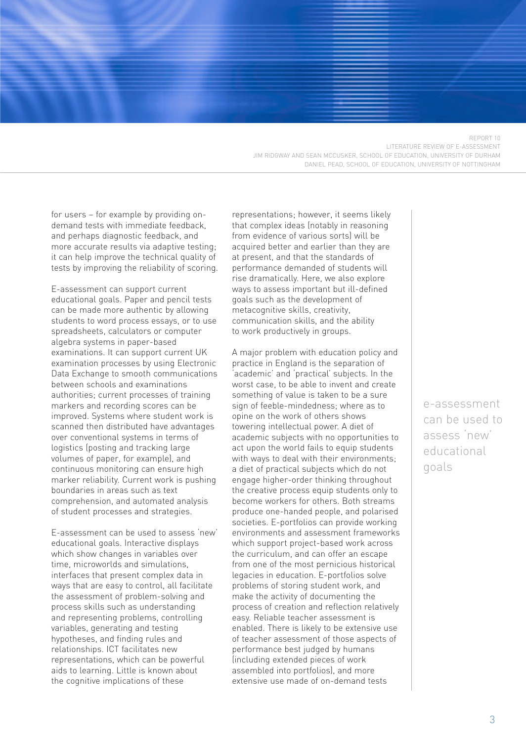REPORT 10 LITERATURE REVIEW OF E-ASSESSMENT JIM RIDGWAY AND SEAN MCCUSKER, SCHOOL OF EDUCATION, UNIVERSITY OF DURHAM DANIEL PEAD, SCHOOL OF EDUCATION, UNIVERSITY OF NOTTINGHAM

for users – for example by providing ondemand tests with immediate feedback, and perhaps diagnostic feedback, and more accurate results via adaptive testing; it can help improve the technical quality of tests by improving the reliability of scoring.

E-assessment can support current educational goals. Paper and pencil tests can be made more authentic by allowing students to word process essays, or to use spreadsheets, calculators or computer algebra systems in paper-based examinations. It can support current UK examination processes by using Electronic Data Exchange to smooth communications between schools and examinations authorities; current processes of training markers and recording scores can be improved. Systems where student work is scanned then distributed have advantages over conventional systems in terms of logistics (posting and tracking large volumes of paper, for example), and continuous monitoring can ensure high marker reliability. Current work is pushing boundaries in areas such as text comprehension, and automated analysis of student processes and strategies.

E-assessment can be used to assess 'new' educational goals. Interactive displays which show changes in variables over time, microworlds and simulations, interfaces that present complex data in ways that are easy to control, all facilitate the assessment of problem-solving and process skills such as understanding and representing problems, controlling variables, generating and testing hypotheses, and finding rules and relationships. ICT facilitates new representations, which can be powerful aids to learning. Little is known about the cognitive implications of these

representations; however, it seems likely that complex ideas (notably in reasoning from evidence of various sorts) will be acquired better and earlier than they are at present, and that the standards of performance demanded of students will rise dramatically. Here, we also explore ways to assess important but ill-defined goals such as the development of metacognitive skills, creativity, communication skills, and the ability to work productively in groups.

A major problem with education policy and practice in England is the separation of 'academic' and 'practical' subjects. In the worst case, to be able to invent and create something of value is taken to be a sure sign of feeble-mindedness; where as to opine on the work of others shows towering intellectual power. A diet of academic subjects with no opportunities to act upon the world fails to equip students with ways to deal with their environments; a diet of practical subjects which do not engage higher-order thinking throughout the creative process equip students only to become workers for others. Both streams produce one-handed people, and polarised societies. E-portfolios can provide working environments and assessment frameworks which support project-based work across the curriculum, and can offer an escape from one of the most pernicious historical legacies in education. E-portfolios solve problems of storing student work, and make the activity of documenting the process of creation and reflection relatively easy. Reliable teacher assessment is enabled. There is likely to be extensive use of teacher assessment of those aspects of performance best judged by humans (including extended pieces of work assembled into portfolios), and more extensive use made of on-demand tests

e-assessment can be used to assess 'new' educational goals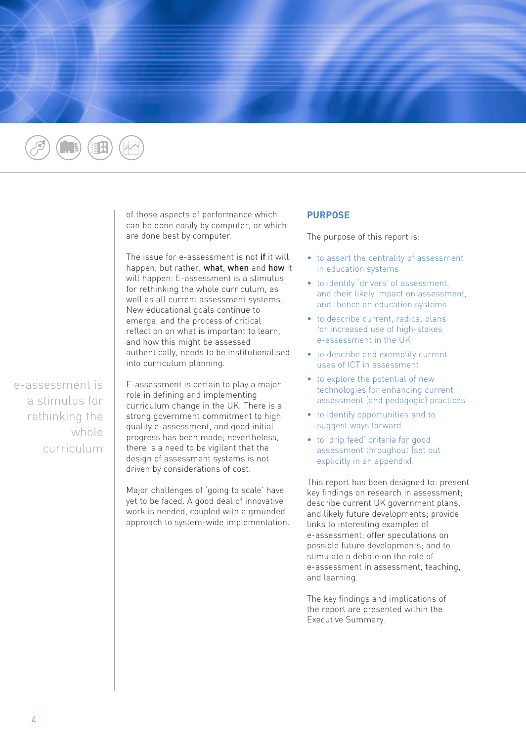

of those aspects of performance which can be done easily by computer, or which are done best by computer.

The issue for e-assessment is not if it will happen, but rather, what, when and how it will happen. E-assessment is a stimulus for rethinking the whole curriculum, as well as all current assessment systems. New educational goals continue to emerge, and the process of critical reflection on what is important to learn, and how this might be assessed authentically, needs to be institutionalised into curriculum planning.

e-assessment is a stimulus for rethinking the whole curriculum E-assessment is certain to play a major role in defining and implementing curriculum change in the UK. There is a strong government commitment to high quality e-assessment, and good initial progress has been made; nevertheless, there is a need to be vigilant that the design of assessment systems is not driven by considerations of cost.

Major challenges of 'going to scale' have yet to be faced. A good deal of innovative work is needed, coupled with a grounded approach to system-wide implementation.

### **PURPOSE**

The purpose of this report is:

- to assert the centrality of assessment in education systems
- to identify 'drivers' of assessment, and their likely impact on assessment, and thence on education systems
- to describe current, radical plans for increased use of high-stakes e-assessment in the UK
- to describe and exemplify current uses of ICT in assessment
- to explore the potential of new technologies for enhancing current assessment (and pedagogic) practices
- to identify opportunities and to suggest ways forward
- to 'drip feed' criteria for good assessment throughout (set out explicitly in an appendix).

This report has been designed to: present key findings on research in assessment; describe current UK government plans, and likely future developments; provide links to interesting examples of e-assessment; offer speculations on possible future developments; and to stimulate a debate on the role of e-assessment in assessment, teaching, and learning.

The key findings and implications of the report are presented within the Executive Summary.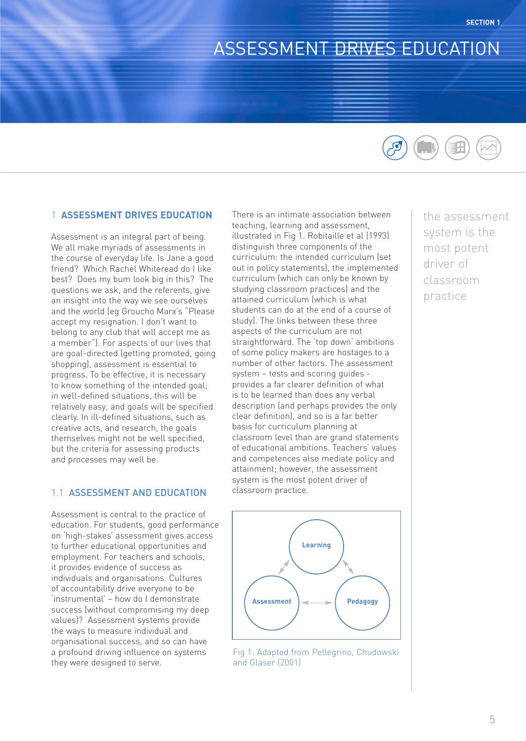# ASSESSMENT DRIVES EDUCATION

#### 1 **ASSESSMENT DRIVES EDUCATION**

Assessment is an integral part of being. We all make myriads of assessments in the course of everyday life. Is Jane a good friend? Which Rachel Whiteread do I like best? Does my bum look big in this? The questions we ask, and the referents, give an insight into the way we see ourselves and the world (eg Groucho Marx's "Please accept my resignation. I don't want to belong to any club that will accept me as a member"). For aspects of our lives that are goal-directed (getting promoted, going shopping), assessment is essential to progress. To be effective, it is necessary to know something of the intended goal; in well-defined situations, this will be relatively easy, and goals will be specified clearly. In ill-defined situations, such as creative acts, and research, the goals themselves might not be well specified, but the criteria for assessing products and processes may well be.

### 1.1 ASSESSMENT AND EDUCATION

Assessment is central to the practice of education. For students, good performance on 'high-stakes' assessment gives access to further educational opportunities and employment. For teachers and schools, it provides evidence of success as individuals and organisations. Cultures of accountability drive everyone to be 'instrumental' – how do I demonstrate success (without compromising my deep values)? Assessment systems provide the ways to measure individual and organisational success, and so can have a profound driving influence on systems they were designed to serve.

There is an intimate association between teaching, learning and assessment, illustrated in Fig 1. Robitaille et al (1993) distinguish three components of the curriculum: the intended curriculum (set out in policy statements), the implemented curriculum (which can only be known by studying classroom practices) and the attained curriculum (which is what students can do at the end of a course of study). The links between these three aspects of the curriculum are not straightforward. The 'top down' ambitions of some policy makers are hostages to a number of other factors. The assessment system – tests and scoring guides provides a far clearer definition of what is to be learned than does any verbal description (and perhaps provides the only clear definition), and so is a far better basis for curriculum planning at classroom level than are grand statements of educational ambitions. Teachers' values and competences also mediate policy and attainment; however, the assessment system is the most potent driver of classroom practice.



Fig 1: Adapted from Pellegrino, Chudowski and Glaser (2001)



the assessment system is the most potent driver of classroom practice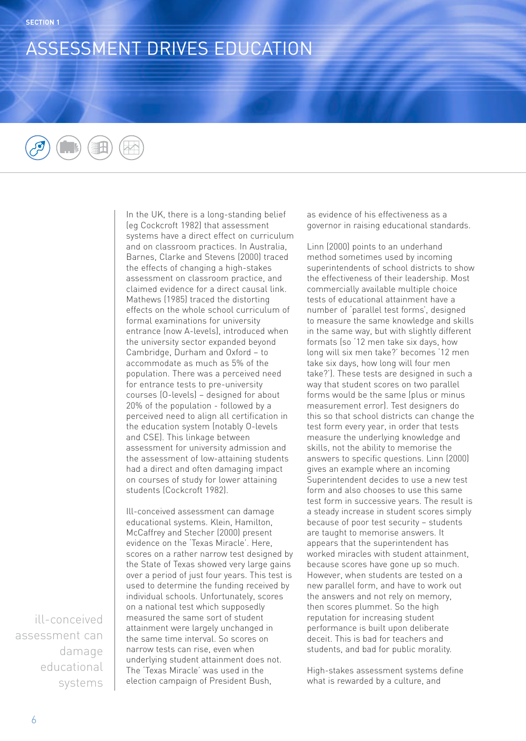## ASSESSMENT DRIVES EDUCATION

In the UK, there is a long-standing belief (eg Cockcroft 1982) that assessment systems have a direct effect on curriculum and on classroom practices. In Australia, Barnes, Clarke and Stevens (2000) traced the effects of changing a high-stakes assessment on classroom practice, and claimed evidence for a direct causal link. Mathews (1985) traced the distorting effects on the whole school curriculum of formal examinations for university entrance (now A-levels), introduced when the university sector expanded beyond Cambridge, Durham and Oxford – to accommodate as much as 5% of the population. There was a perceived need for entrance tests to pre-university courses (O-levels) – designed for about 20% of the population - followed by a perceived need to align all certification in the education system (notably O-levels and CSE). This linkage between assessment for university admission and the assessment of low-attaining students had a direct and often damaging impact on courses of study for lower attaining students (Cockcroft 1982).

Ill-conceived assessment can damage educational systems. Klein, Hamilton, McCaffrey and Stecher (2000) present evidence on the 'Texas Miracle'. Here, scores on a rather narrow test designed by the State of Texas showed very large gains over a period of just four years. This test is used to determine the funding received by individual schools. Unfortunately, scores on a national test which supposedly measured the same sort of student attainment were largely unchanged in the same time interval. So scores on narrow tests can rise, even when underlying student attainment does not. The 'Texas Miracle' was used in the election campaign of President Bush,

as evidence of his effectiveness as a governor in raising educational standards.

Linn (2000) points to an underhand method sometimes used by incoming superintendents of school districts to show the effectiveness of their leadership. Most commercially available multiple choice tests of educational attainment have a number of 'parallel test forms', designed to measure the same knowledge and skills in the same way, but with slightly different formats (so '12 men take six days, how long will six men take?' becomes '12 men take six days, how long will four men take?'). These tests are designed in such a way that student scores on two parallel forms would be the same (plus or minus measurement error). Test designers do this so that school districts can change the test form every year, in order that tests measure the underlying knowledge and skills, not the ability to memorise the answers to specific questions. Linn (2000) gives an example where an incoming Superintendent decides to use a new test form and also chooses to use this same test form in successive years. The result is a steady increase in student scores simply because of poor test security – students are taught to memorise answers. It appears that the superintendent has worked miracles with student attainment, because scores have gone up so much. However, when students are tested on a new parallel form, and have to work out the answers and not rely on memory, then scores plummet. So the high reputation for increasing student performance is built upon deliberate deceit. This is bad for teachers and students, and bad for public morality.

High-stakes assessment systems define what is rewarded by a culture, and

ill-conceived assessment can damage educational systems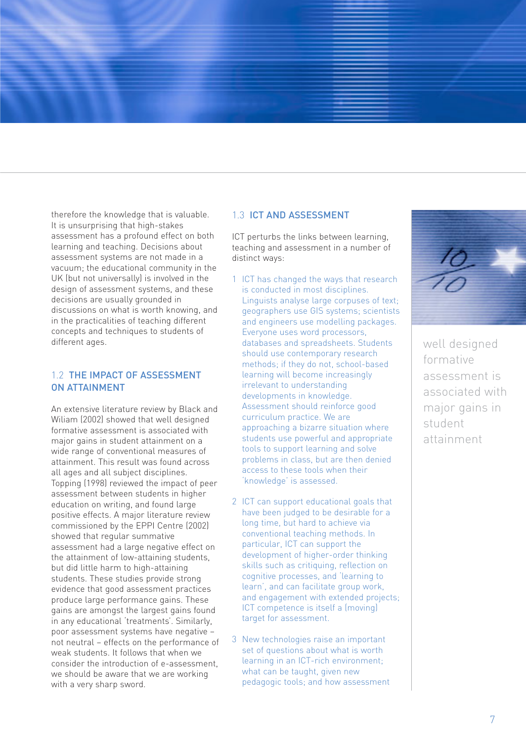therefore the knowledge that is valuable. It is unsurprising that high-stakes assessment has a profound effect on both learning and teaching. Decisions about assessment systems are not made in a vacuum; the educational community in the UK (but not universally) is involved in the design of assessment systems, and these decisions are usually grounded in discussions on what is worth knowing, and in the practicalities of teaching different concepts and techniques to students of different ages.

## 1.2 THE IMPACT OF ASSESSMENT ON ATTAINMENT

An extensive literature review by Black and Wiliam (2002) showed that well designed formative assessment is associated with major gains in student attainment on a wide range of conventional measures of attainment. This result was found across all ages and all subject disciplines. Topping (1998) reviewed the impact of peer assessment between students in higher education on writing, and found large positive effects. A major literature review commissioned by the EPPI Centre (2002) showed that regular summative assessment had a large negative effect on the attainment of low-attaining students, but did little harm to high-attaining students. These studies provide strong evidence that good assessment practices produce large performance gains. These gains are amongst the largest gains found in any educational 'treatments'. Similarly, poor assessment systems have negative – not neutral – effects on the performance of weak students. It follows that when we consider the introduction of e-assessment, we should be aware that we are working with a very sharp sword.

### 1.3 ICT AND ASSESSMENT

ICT perturbs the links between learning, teaching and assessment in a number of distinct ways:

- 1 ICT has changed the ways that research is conducted in most disciplines. Linguists analyse large corpuses of text; geographers use GIS systems; scientists and engineers use modelling packages. Everyone uses word processors, databases and spreadsheets. Students should use contemporary research methods; if they do not, school-based learning will become increasingly irrelevant to understanding developments in knowledge. Assessment should reinforce good curriculum practice. We are approaching a bizarre situation where students use powerful and appropriate tools to support learning and solve problems in class, but are then denied access to these tools when their 'knowledge' is assessed.
- 2 ICT can support educational goals that have been judged to be desirable for a long time, but hard to achieve via conventional teaching methods. In particular, ICT can support the development of higher-order thinking skills such as critiquing, reflection on cognitive processes, and 'learning to learn', and can facilitate group work, and engagement with extended projects; ICT competence is itself a (moving) target for assessment.
- 3 New technologies raise an important set of questions about what is worth learning in an ICT-rich environment; what can be taught, given new pedagogic tools; and how assessment



well designed formative assessment is associated with major gains in student attainment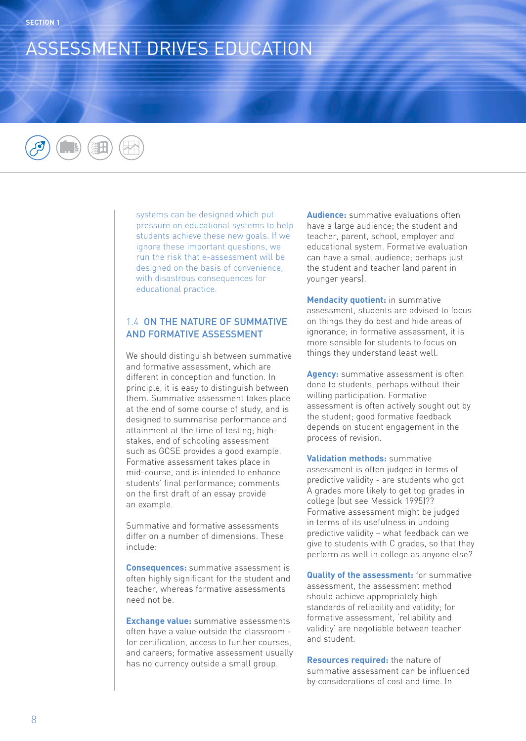## ASSESSMENT DRIVES EDUCATION

systems can be designed which put pressure on educational systems to help students achieve these new goals. If we ignore these important questions, we run the risk that e-assessment will be designed on the basis of convenience, with disastrous consequences for educational practice.

## 1.4 ON THE NATURE OF SUMMATIVE AND FORMATIVE ASSESSMENT

We should distinguish between summative and formative assessment, which are different in conception and function. In principle, it is easy to distinguish between them. Summative assessment takes place at the end of some course of study, and is designed to summarise performance and attainment at the time of testing; highstakes, end of schooling assessment such as GCSE provides a good example. Formative assessment takes place in mid-course, and is intended to enhance students' final performance; comments on the first draft of an essay provide an example.

Summative and formative assessments differ on a number of dimensions. These include:

**Consequences:** summative assessment is often highly significant for the student and teacher, whereas formative assessments need not be.

**Exchange value:** summative assessments often have a value outside the classroom for certification, access to further courses, and careers; formative assessment usually has no currency outside a small group.

**Audience:** summative evaluations often have a large audience; the student and teacher, parent, school, employer and educational system. Formative evaluation can have a small audience; perhaps just the student and teacher (and parent in younger years).

**Mendacity quotient:** in summative assessment, students are advised to focus on things they do best and hide areas of ignorance; in formative assessment, it is more sensible for students to focus on things they understand least well.

**Agency:** summative assessment is often done to students, perhaps without their willing participation. Formative assessment is often actively sought out by the student; good formative feedback depends on student engagement in the process of revision.

**Validation methods:** summative assessment is often judged in terms of predictive validity - are students who got A grades more likely to get top grades in college (but see Messick 1995)?? Formative assessment might be judged in terms of its usefulness in undoing predictive validity – what feedback can we give to students with C grades, so that they perform as well in college as anyone else?

**Quality of the assessment:** for summative assessment, the assessment method should achieve appropriately high standards of reliability and validity; for formative assessment, 'reliability and validity' are negotiable between teacher and student.

**Resources required:** the nature of summative assessment can be influenced by considerations of cost and time. In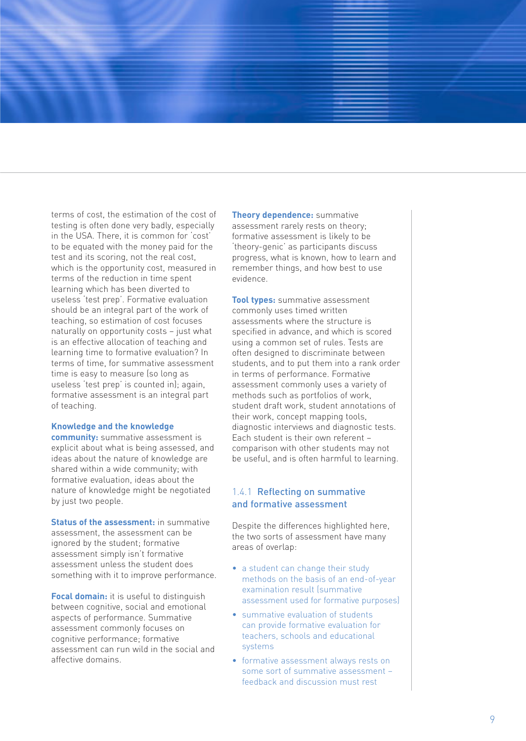terms of cost, the estimation of the cost of te sting is often done very badly, especially in the USA. There, it is common for 'cost' to be equated with the money paid for the test and its scoring, not the real cost, which is the opportunity cost, measured in terms of the reduction in time spent learning which has been diverted to useless 'test prep'. Formative evaluation should be an integral part of the work of teaching, so estimation of cost focuses naturally on opportunity costs – just what is an effective allocation of teaching and learning time to formative evaluation? In terms of time, for summative assessment time is easy to measure (so long as useless 'test prep' is counted in); again, formative assessment is an integral part of teaching.

#### **Knowledge and the knowledge**

**community:** summative assessment is explicit about what is being assessed, and ideas about the nature of knowledge are shared within a wide community; with formative evaluation, ideas about the nature of knowledge might be negotiated by just two people.

**Status of the assessment:** in summative assessment, the assessment can be ignored by the student; formative assessment simply isn't formative assessment unless the student does something with it to improve performance.

**Focal domain:** it is useful to distinguish between cognitive, social and emotional aspects of performance. Summative assessment commonly focuses on cognitive performance; formative assessment can run wild in the social and affective domains.

**Theory dependence:** summative assessment rarely rests on theory; formative assessment is likely to be 'theory-genic' as participants discuss progress, what is known, how to learn and remember things, and how best to use evidence.

**Tool types:** summative assessment commonly uses timed written assessments where the structure is specified in advance, and which is scored using a common set of rules. Tests are often designed to discriminate between students, and to put them into a rank order in terms of performance. Formative assessment commonly uses a variety of methods such as portfolios of work, student draft work, student annotations of their work, concept mapping tools, diagnostic interviews and diagnostic tests. Each student is their own referent – comparison with other students may not be useful, and is often harmful to learning.

### 1.4.1 Reflecting on summative and formative assessment

Despite the differences highlighted here, the two sorts of assessment have many areas of overlap:

- a student can change their study methods on the basis of an end-of-year examination result (summative assessment used for formative purposes)
- summative evaluation of students can provide formative evaluation for teachers, schools and educational systems
- formative assessment always rests on some sort of summative assessment – feedback and discussion must rest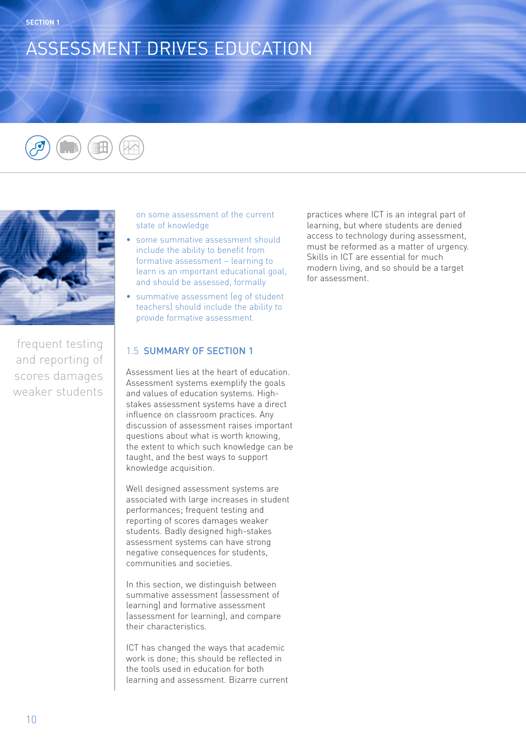# ASSESSMENT DRIVES EDUCATION





frequent testing and reporting of scores damages weaker students on some assessment of the current state of knowledge

- some summative assessment should include the ability to benefit from formative assessment – learning to learn is an important educational goal, and should be assessed, formally
- summative assessment (eq of student teachers) should include the ability to provide formative assessment.

## 1.5 SUMMARY OF SECTION 1

Assessment lies at the heart of education. Assessment systems exemplify the goals and values of education systems. Highstakes assessment systems have a direct influence on classroom practices. Any discussion of assessment raises important questions about what is worth knowing, the extent to which such knowledge can be taught, and the best ways to support knowledge acquisition.

Well designed assessment systems are associated with large increases in student performances; frequent testing and reporting of scores damages weaker students. Badly designed high-stakes assessment systems can have strong negative consequences for students, communities and societies.

In this section, we distinguish between summative assessment (assessment of learning) and formative assessment (assessment for learning), and compare their characteristics.

ICT has changed the ways that academic work is done; this should be reflected in the tools used in education for both learning and assessment. Bizarre current practices where ICT is an integral part of learning, but where students are denied access to technology during assessment, must be reformed as a matter of urgency. Skills in ICT are essential for much modern living, and so should be a target for assessment.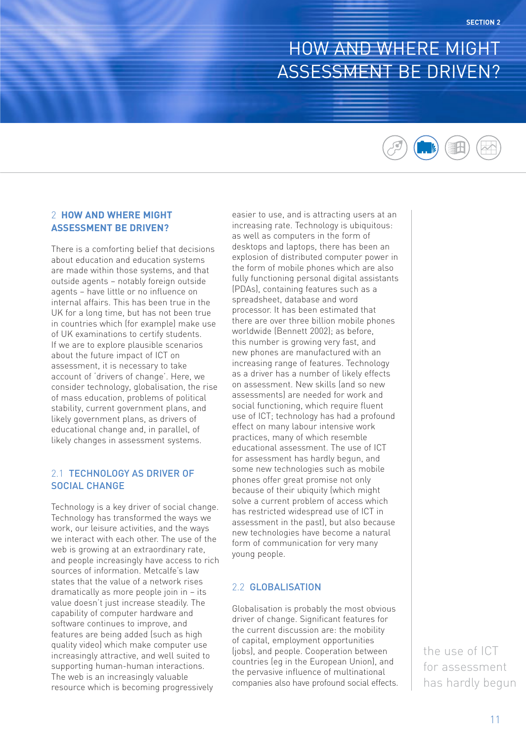## HOW AND WHERE MIGHT ASSESSMENT BE DRIVEN?



## 2 **HOW AND WHERE MIGHT ASSESSMENT BE DRIVEN?**

There is a comforting belief that decisions about education and education systems are made within those systems, and that outside agents – notably foreign outside agents – have little or no influence on internal affairs. This has been true in the UK for a long time, but has not been true in countries which (for example) make use of UK examinations to certify students. If we are to explore plausible scenarios about the future impact of ICT on assessment, it is necessary to take account of 'drivers of change'. Here, we consider technology, globalisation, the rise of mass education, problems of political stability, current government plans, and likely government plans, as drivers of educational change and, in parallel, of likely changes in assessment systems.

## 2.1 TECHNOLOGY AS DRIVER OF SOCIAL CHANGE

Technology is a key driver of social change. Technology has transformed the ways we work, our leisure activities, and the ways we interact with each other. The use of the web is growing at an extraordinary rate, and people increasingly have access to rich sources of information. Metcalfe's law states that the value of a network rises dramatically as more people join in – its value doesn't just increase steadily. The capability of computer hardware and software continues to improve, and features are being added (such as high quality video) which make computer use increasingly attractive, and well suited to supporting human-human interactions. The web is an increasingly valuable resource which is becoming progressively

easier to use, and is attracting users at an increasing rate. Technology is ubiquitous: as well as computers in the form of desktops and laptops, there has been an explosion of distributed computer power in the form of mobile phones which are also fully functioning personal digital assistants (PDAs), containing features such as a spreadsheet, database and word processor. It has been estimated that there are over three billion mobile phones worldwide (Bennett 2002); as before, this number is growing very fast, and new phones are manufactured with an increasing range of features. Technology as a driver has a number of likely effects on assessment. New skills (and so new assessments) are needed for work and social functioning, which require fluent use of ICT; technology has had a profound effect on many labour intensive work practices, many of which resemble educational assessment. The use of ICT for assessment has hardly begun, and some new technologies such as mobile phones offer great promise not only because of their ubiquity (which might solve a current problem of access which has restricted widespread use of ICT in assessment in the past), but also because new technologies have become a natural form of communication for very many young people.

#### 2.2 GLOBALISATION

Globalisation is probably the most obvious driver of change. Significant features for the current discussion are: the mobility of capital, employment opportunities (jobs), and people. Cooperation between countries (eg in the European Union), and the pervasive influence of multinational companies also have profound social effects.

the use of ICT for assessment has hardly begun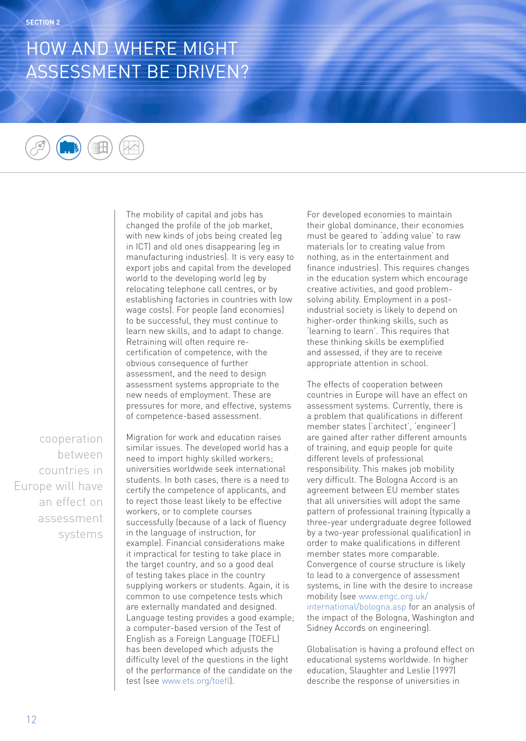# HOW AND WHERE MIGHT ASSESSMENT BE DRIVEN?



The mobility of capital and jobs has changed the profile of the job market, with new kinds of jobs being created (eg in ICT) and old ones disappearing (eg in manufacturing industries). It is very easy to export jobs and capital from the developed world to the developing world (eg by relocating telephone call centres, or by establishing factories in countries with low wage costs). For people (and economies) to be successful, they must continue to learn new skills, and to adapt to change. Retraining will often require recertification of competence, with the obvious consequence of further assessment, and the need to design assessment systems appropriate to the new needs of employment. These are pressures for more, and effective, systems of competence-based assessment.

cooperation between countries in Europe will have an effect on assessment systems Migration for work and education raises similar issues. The developed world has a need to import highly skilled workers; universities worldwide seek international students. In both cases, there is a need to certify the competence of applicants, and to reject those least likely to be effective workers, or to complete courses successfully (because of a lack of fluency in the language of instruction, for example). Financial considerations make it impractical for testing to take place in the target country, and so a good deal of testing takes place in the country supplying workers or students. Again, it is common to use competence tests which are externally mandated and designed. Language testing provides a good example; a computer-based version of the Test of English as a Foreign Language (TOEFL) has been developed which adjusts the difficulty level of the questions in the light of the performance of the candidate on the test (see www.ets.org/toefl).

For developed economies to maintain their global dominance, their economies must be geared to 'adding value' to raw materials (or to creating value from nothing, as in the entertainment and finance industries). This requires changes in the education system which encourage creative activities, and good problemsolving ability. Employment in a postindustrial society is likely to depend on higher-order thinking skills, such as 'learning to learn'. This requires that these thinking skills be exemplified and assessed, if they are to receive appropriate attention in school.

The effects of cooperation between countries in Europe will have an effect on assessment systems. Currently, there is a problem that qualifications in different member states ('architect', 'engineer') are gained after rather different amounts of training, and equip people for quite different levels of professional responsibility. This makes job mobility very difficult. The Bologna Accord is an agreement between EU member states that all universities will adopt the same pattern of professional training (typically a three-year undergraduate degree followed by a two-year professional qualification) in order to make qualifications in different member states more comparable. Convergence of course structure is likely to lead to a convergence of assessment systems, in line with the desire to increase mobility (see www.engc.org.uk/ international/bologna.asp for an analysis of the impact of the Bologna, Washington and Sidney Accords on engineering).

Globalisation is having a profound effect on educational systems worldwide. In higher education, Slaughter and Leslie (1997) describe the response of universities in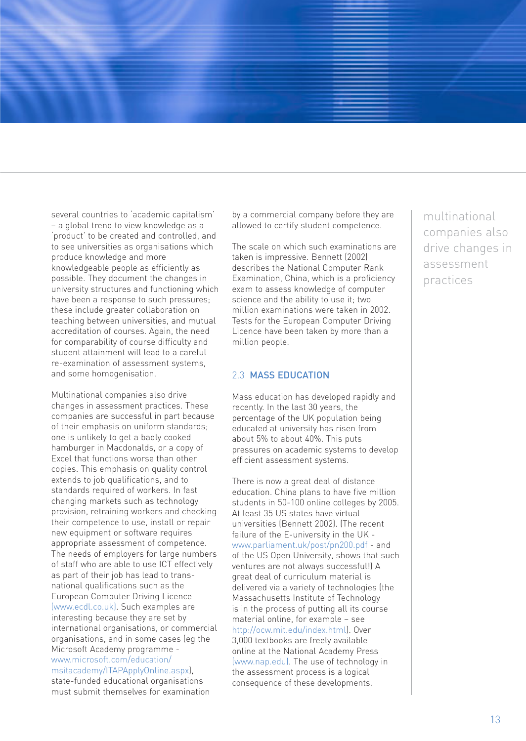several countries to 'academic capitalism' – a global trend to view knowledge as a 'product' to be created and controlled, and to see universities as organisations which produce knowledge and more knowledgeable people as efficiently as possible. They document the changes in university structures and functioning which have been a response to such pressures; these include greater collaboration on teaching between universities, and mutual accreditation of courses. Again, the need for comparability of course difficulty and student attainment will lead to a careful re-examination of assessment systems, and some homogenisation.

Multinational companies also drive changes in assessment practices. These companies are successful in part because of their emphasis on uniform standards; one is unlikely to get a badly cooked hamburger in Macdonalds, or a copy of Excel that functions worse than other copies. This emphasis on quality control extends to job qualifications, and to standards required of workers. In fast changing markets such as technology provision, retraining workers and checking their competence to use, install or repair new equipment or software requires appropriate assessment of competence. The needs of employers for large numbers of staff who are able to use ICT effectively as part of their job has lead to transnational qualifications such as the European Computer Driving Licence (www.ecdl.co.uk). Such examples are interesting because they are set by international organisations, or commercial organisations, and in some cases (eg the Microsoft Academy programme www.microsoft.com/education/ msitacademy/ITAPApplyOnline.aspx), state-funded educational organisations must submit themselves for examination

by a commercial company before they are allowed to certify student competence.

The scale on which such examinations are taken is impressive. Bennett (2002) describes the National Computer Rank Examination, China, which is a proficiency exam to assess knowledge of computer science and the ability to use it; two million examinations were taken in 2002. Tests for the European Computer Driving Licence have been taken by more than a million people.

### 2.3 MASS EDUCATION

Mass education has developed rapidly and recently. In the last 30 years, the percentage of the UK population being educated at university has risen from about 5% to about 40%. This puts pressures on academic systems to develop efficient assessment systems.

There is now a great deal of distance education. China plans to have five million students in 50-100 online colleges by 2005. At least 35 US states have virtual universities (Bennett 2002). (The recent failure of the E-university in the UK www.parliament.uk/post/pn200.pdf - and of the US Open University, shows that such ventures are not always successful!) A great deal of curriculum material is delivered via a variety of technologies (the Massachusetts Institute of Technology is in the process of putting all its course material online, for example – see http://ocw.mit.edu/index.html). Over 3,000 textbooks are freely available online at the National Academy Press (www.nap.edu). The use of technology in the assessment process is a logical consequence of these developments.

multinational companies also drive changes in assessment practices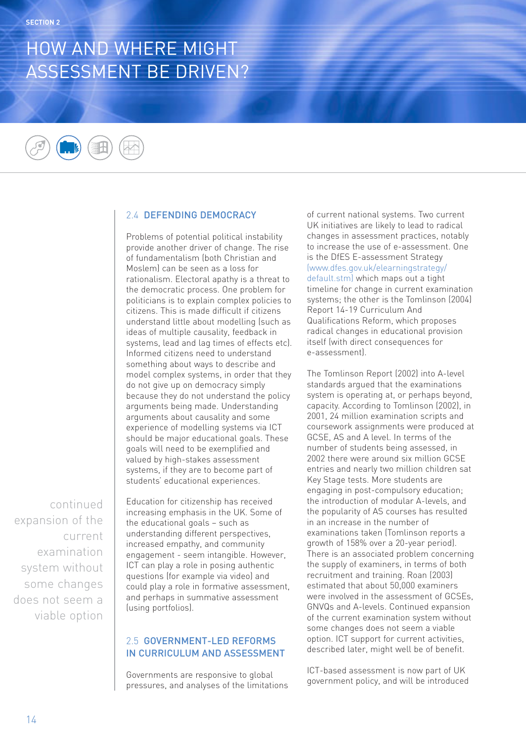# HOW AND WHERE MIGHT ASSESSMENT BE DRIVEN?



## 2.4 DEFENDING DEMOCRACY

Problems of potential political instability provide another driver of change. The rise of fundamentalism (both Christian and Moslem) can be seen as a loss for rationalism. Electoral apathy is a threat to the democratic process. One problem for politicians is to explain complex policies to citizens. This is made difficult if citizens understand little about modelling (such as ideas of multiple causality, feedback in systems, lead and lag times of effects etc). Informed citizens need to understand something about ways to describe and model complex systems, in order that they do not give up on democracy simply because they do not understand the policy arguments being made. Understanding arguments about causality and some experience of modelling systems via ICT should be major educational goals. These goals will need to be exemplified and valued by high-stakes assessment systems, if they are to become part of students' educational experiences.

continued expansion of the current examination system without some changes does not seem a viable option Education for citizenship has received increasing emphasis in the UK. Some of the educational goals – such as understanding different perspectives, increased empathy, and community engagement - seem intangible. However, ICT can play a role in posing authentic questions (for example via video) and could play a role in formative assessment, and perhaps in summative assessment (using portfolios).

## 2.5 GOVERNMENT-LED REFORMS IN CURRICULUM AND ASSESSMENT

Governments are responsive to global pressures, and analyses of the limitations of current national systems. Two current UK initiatives are likely to lead to radical changes in assessment practices, notably to increase the use of e-assessment. One is the DfES E-assessment Strategy (www.dfes.gov.uk/elearningstrategy/ default.stm) which maps out a tight timeline for change in current examination systems; the other is the Tomlinson (2004) Report 14-19 Curriculum And Qualifications Reform, which proposes radical changes in educational provision itself (with direct consequences for e-assessment).

The Tomlinson Report (2002) into A-level standards argued that the examinations system is operating at, or perhaps beyond, capacity. According to Tomlinson (2002), in 2001, 24 million examination scripts and coursework assignments were produced at GCSE, AS and A level. In terms of the number of students being assessed, in 2002 there were around six million GCSE entries and nearly two million children sat Key Stage tests. More students are engaging in post-compulsory education; the introduction of modular A-levels, and the popularity of AS courses has resulted in an increase in the number of examinations taken (Tomlinson reports a growth of 158% over a 20-year period). There is an associated problem concerning the supply of examiners, in terms of both recruitment and training. Roan (2003) estimated that about 50,000 examiners were involved in the assessment of GCSEs, GNVQs and A-levels. Continued expansion of the current examination system without some changes does not seem a viable option. ICT support for current activities, described later, might well be of benefit.

ICT-based assessment is now part of UK government policy, and will be introduced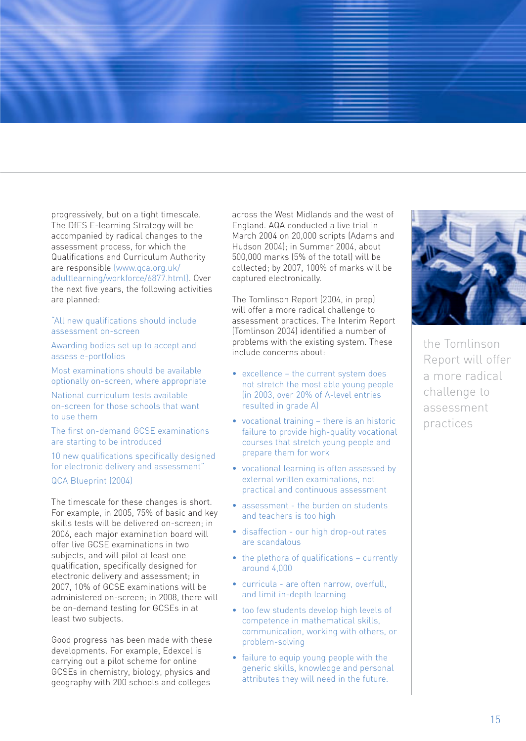progressively, but on a tight timescale. The DfES E-learning Strategy will be accompanied by radical changes to the assessment process, for which the Qualifications and Curriculum Authority are responsible (www.qca.org.uk/ adultlearning/workforce/6877.html). Over the next five years, the following activities are planned:

"All new qualifications should include assessment on-screen

Awarding bodies set up to accept and assess e-portfolios

Most examinations should be available optionally on-screen, where appropriate

National curriculum tests available on-screen for those schools that want to use them

The first on-demand GCSE examinations are starting to be introduced

10 new qualifications specifically designed for electronic delivery and assessment"

QCA Blueprint (2004)

The timescale for these changes is short. For example, in 2005, 75% of basic and key skills tests will be delivered on-screen; in 2006, each major examination board will offer live GCSE examinations in two subjects, and will pilot at least one qualification, specifically designed for electronic delivery and assessment; in 2007, 10% of GCSE examinations will be administered on-screen; in 2008, there will be on-demand testing for GCSEs in at least two subjects.

Good progress has been made with these developments. For example, Edexcel is carrying out a pilot scheme for online GCSEs in chemistry, biology, physics and geography with 200 schools and colleges

across the West Midlands and the west of England. AQA conducted a live trial in March 2004 on 20,000 scripts (Adams and Hudson 2004); in Summer 2004, about 500,000 marks (5% of the total) will be collected; by 2007, 100% of marks will be captured electronically.

The Tomlinson Report (2004, in prep) will offer a more radical challenge to assessment practices. The Interim Report (Tomlinson 2004) identified a number of problems with the existing system. These include concerns about:

- excellence the current system does not stretch the most able young people (in 2003, over 20% of A-level entries resulted in grade A)
- vocational training there is an historic failure to provide high-quality vocational courses that stretch young people and prepare them for work
- vocational learning is often assessed by external written examinations, not practical and continuous assessment
- assessment the burden on students and teachers is too high
- disaffection our high drop-out rates are scandalous
- the plethora of qualifications currently around 4,000
- curricula are often narrow, overfull, and limit in-depth learning
- too few students develop high levels of competence in mathematical skills, communication, working with others, or problem-solving
- failure to equip young people with the generic skills, knowledge and personal attributes they will need in the future.



the Tomlinson Report will offer a more radical challenge to assessment practices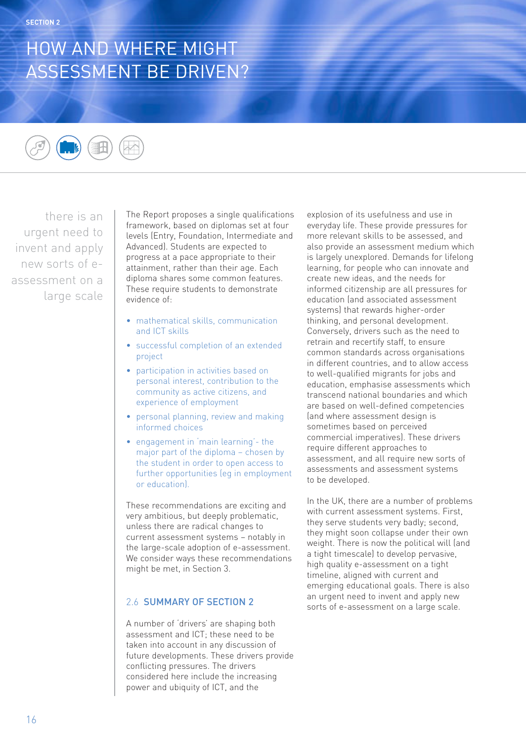# HOW AND WHERE MIGHT ASSESSMENT BE DRIVEN?



there is an urgent need to invent and apply new sorts of eassessment on a large scale

The Report proposes a single qualifications framework, based on diplomas set at four levels (Entry, Foundation, Intermediate and Advanced). Students are expected to progress at a pace appropriate to their attainment, rather than their age. Each diploma shares some common features. These require students to demonstrate evidence of:

- mathematical skills, communication and ICT skills
- successful completion of an extended project
- participation in activities based on personal interest, contribution to the community as active citizens, and experience of employment
- personal planning, review and making informed choices
- engagement in 'main learning'- the major part of the diploma – chosen by the student in order to open access to further opportunities (eg in employment or education).

These recommendations are exciting and very ambitious, but deeply problematic, unless there are radical changes to current assessment systems – notably in the large-scale adoption of e-assessment. We consider ways these recommendations might be met, in Section 3.

## 2.6 SUMMARY OF SECTION 2

A number of 'drivers' are shaping both assessment and ICT; these need to be taken into account in any discussion of future developments. These drivers provide conflicting pressures. The drivers considered here include the increasing power and ubiquity of ICT, and the

explosion of its usefulness and use in everyday life. These provide pressures for more relevant skills to be assessed, and also provide an assessment medium which is largely unexplored. Demands for lifelong learning, for people who can innovate and create new ideas, and the needs for informed citizenship are all pressures for education (and associated assessment systems) that rewards higher-order thinking, and personal development. Conversely, drivers such as the need to retrain and recertify staff, to ensure common standards across organisations in different countries, and to allow access to well-qualified migrants for jobs and education, emphasise assessments which transcend national boundaries and which are based on well-defined competencies (and where assessment design is sometimes based on perceived commercial imperatives). These drivers require different approaches to assessment, and all require new sorts of assessments and assessment systems to be developed.

In the UK, there are a number of problems with current assessment systems. First, they serve students very badly; second, they might soon collapse under their own weight. There is now the political will (and a tight timescale) to develop pervasive, high quality e-assessment on a tight timeline, aligned with current and emerging educational goals. There is also an urgent need to invent and apply new sorts of e-assessment on a large scale.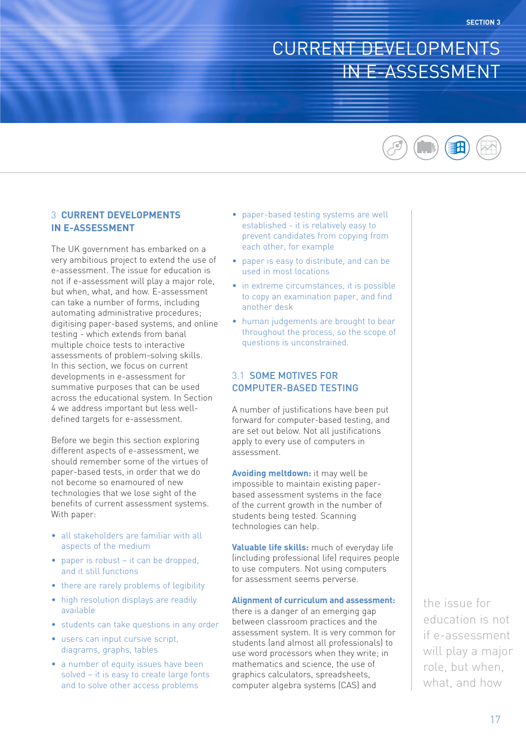## CURRENT DEVELOPMENTS IN E-ASSESSMENT



## 3 **CURRENT DEVELOPMENTS IN E-ASSESSMENT**

The UK government has embarked on a very ambitious project to extend the use of e-assessment. The issue for education is not if e-assessment will play a major role, but when, what, and how. E-assessment can take a number of forms, including automating administrative procedures; digitising paper-based systems, and online testing - which extends from banal multiple choice tests to interactive assessments of problem-solving skills. In this section, we focus on current developments in e-assessment for summative purposes that can be used across the educational system. In Section 4 we address important but less welldefined targets for e-assessment.

Before we begin this section exploring different aspects of e-assessment, we should remember some of the virtues of paper-based tests, in order that we do not become so enamoured of new technologies that we lose sight of the benefits of current assessment systems. With paper:

- all stakeholders are familiar with all aspects of the medium
- paper is robust it can be dropped, and it still functions
- there are rarely problems of legibility
- high resolution displays are readily
- students can take questions in any order
- users can input cursive script, diagrams, graphs, tables

available

• a number of equity issues have been solved – it is easy to create large fonts and to solve other access problems

- paper-based testing systems are well established - it is relatively easy to prevent candidates from copying from each other, for example
- paper is easy to distribute, and can be used in most locations
- in extreme circumstances, it is possible to copy an examination paper, and find another desk
- human judgements are brought to bear throughout the process, so the scope of questions is unconstrained.

### 3.1 SOME MOTIVES FOR COMPUTER-BASED TESTING

A number of justifications have been put forward for computer-based testing, and are set out below. Not all justifications apply to every use of computers in assessment.

**Avoiding meltdown:** it may well be impossible to maintain existing paperbased assessment systems in the face of the current growth in the number of students being tested. Scanning technologies can help.

**Valuable life skills:** much of everyday life (including professional life) requires people to use computers. Not using computers for assessment seems perverse.

#### **Alignment of curriculum and assessment:**

there is a danger of an emerging gap between classroom practices and the assessment system. It is very common for students (and almost all professionals) to use word processors when they write; in mathematics and science, the use of graphics calculators, spreadsheets, computer algebra systems (CAS) and

the issue for education is not if e-assessment will play a major role, but when, what, and how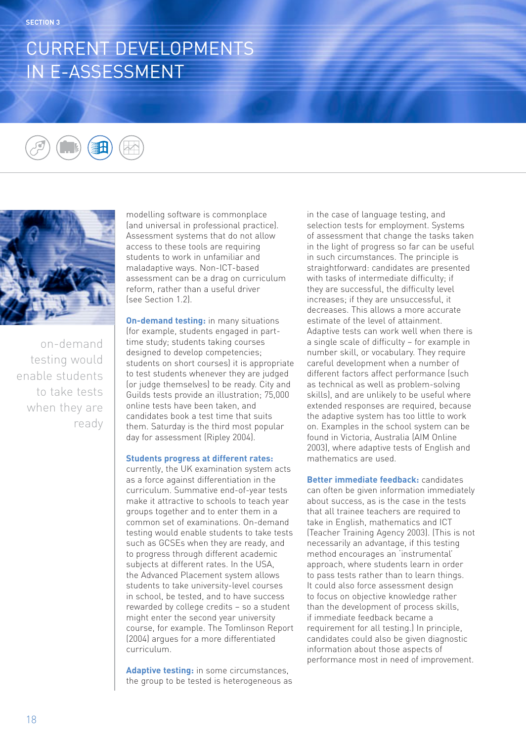## CURRENT DEVELOPMENTS IN E-ASSESSMENT





on-demand testing would enable students to take tests when they are ready modelling software is commonplace (and universal in professional practice). Assessment systems that do not allow access to these tools are requiring students to work in unfamiliar and maladaptive ways. Non-ICT-based assessment can be a drag on curriculum reform, rather than a useful driver (see Section 1.2).

**On-demand testing:** in many situations (for example, students engaged in parttime study; students taking courses designed to develop competencies; students on short courses) it is appropriate to test students whenever they are judged (or judge themselves) to be ready. City and Guilds tests provide an illustration; 75,000 online tests have been taken, and candidates book a test time that suits them. Saturday is the third most popular day for assessment (Ripley 2004).

#### **Students progress at different rates:**

currently, the UK examination system acts as a force against differentiation in the curriculum. Summative end-of-year tests make it attractive to schools to teach year groups together and to enter them in a common set of examinations. On-demand testing would enable students to take tests such as GCSEs when they are ready, and to progress through different academic subjects at different rates. In the USA, the Advanced Placement system allows students to take university-level courses in school, be tested, and to have success rewarded by college credits – so a student might enter the second year university course, for example. The Tomlinson Report (2004) argues for a more differentiated curriculum.

**Adaptive testing:** in some circumstances, the group to be tested is heterogeneous as in the case of language testing, and selection tests for employment. Systems of assessment that change the tasks taken in the light of progress so far can be useful in such circumstances. The principle is straightforward: candidates are presented with tasks of intermediate difficulty; if they are successful, the difficulty level increases; if they are unsuccessful, it decreases. This allows a more accurate estimate of the level of attainment. Adaptive tests can work well when there is a single scale of difficulty – for example in number skill, or vocabulary. They require careful development when a number of different factors affect performance (such as technical as well as problem-solving skills), and are unlikely to be useful where extended responses are required, because the adaptive system has too little to work on. Examples in the school system can be found in Victoria, Australia (AIM Online 2003), where adaptive tests of English and mathematics are used.

**Better immediate feedback:** candidates can often be given information immediately about success, as is the case in the tests that all trainee teachers are required to take in English, mathematics and ICT (Teacher Training Agency 2003). (This is not necessarily an advantage, if this testing method encourages an 'instrumental' approach, where students learn in order to pass tests rather than to learn things. It could also force assessment design to focus on objective knowledge rather than the development of process skills, if immediate feedback became a requirement for all testing.) In principle, candidates could also be given diagnostic information about those aspects of performance most in need of improvement.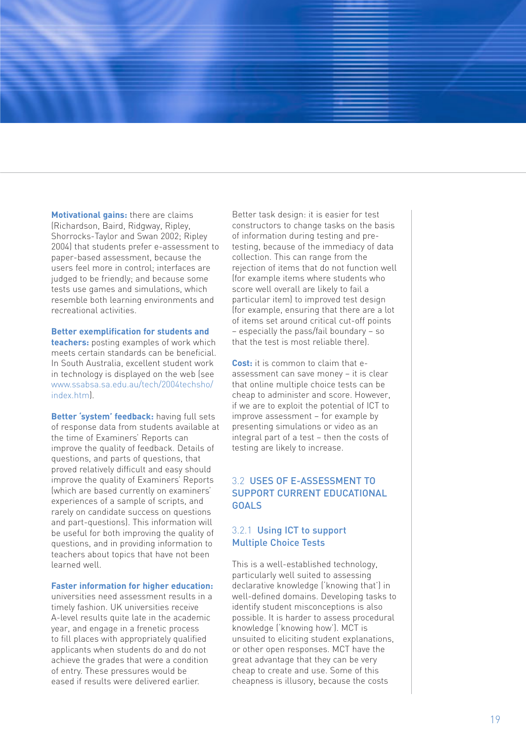**Motivational gains:** there are claims (Richardson, Baird, Ridgway, Ripley, Shorrocks-Taylor and Swan 2002; Ripley 2004) that students prefer e-assessment to paper-based assessment, because the users feel more in control; interfaces are judged to be friendly; and because some te sts use games and simulations, which resemble both learning environments and recreational activities.

#### **Better exemplification for students and**

**teachers:** posting examples of work which meets certain standards can be beneficial. In South Australia, excellent student work in technology is displayed on the web (see www.ssabsa.sa.edu.au/tech/2004techsho/ index.htm).

**Better 'system' feedback:** having full sets of response data from students available at the time of Examiners' Reports can improve the quality of feedback. Details of questions, and parts of questions, that proved relatively difficult and easy should improve the quality of Examiners' Reports (which are based currently on examiners' experiences of a sample of scripts, and rarely on candidate success on questions and part-questions). This information will be useful for both improving the quality of questions, and in providing information to teachers about topics that have not been learned well.

#### **Faster information for higher education:**

universities need assessment results in a timely fashion. UK universities receive A-level results quite late in the academic year, and engage in a frenetic process to fill places with appropriately qualified applicants when students do and do not achieve the grades that were a condition of entry. These pressures would be eased if results were delivered earlier.

Better task design: it is easier for test constructors to change tasks on the basis of information during testing and pretesting, because of the immediacy of data collection. This can range from the rejection of items that do not function well (for example items where students who score well overall are likely to fail a particular item) to improved test design (for example, ensuring that there are a lot of items set around critical cut-off points – especially the pass/fail boundary – so that the test is most reliable there).

**Cost:** it is common to claim that eassessment can save money – it is clear that online multiple choice tests can be cheap to administer and score. However, if we are to exploit the potential of ICT to improve assessment – for example by presenting simulations or video as an integral part of a test – then the costs of te sting are likely to increase.

## 3.2 USES OF E-ASSESSMENT TO SUPPORT CURRENT EDUCATIONAL **GOALS**

### 3.2.1 Using ICT to support Multiple Choice Tests

This is a well-established technology, particularly well suited to assessing declarative knowledge ('knowing that') in well-defined domains. Developing tasks to identify student misconceptions is also possible. It is harder to assess procedural knowledge ('knowing how'). MCT is unsuited to eliciting student explanations, or other open responses. MCT have the great advantage that they can be very cheap to create and use. Some of this cheapness is illusory, because the costs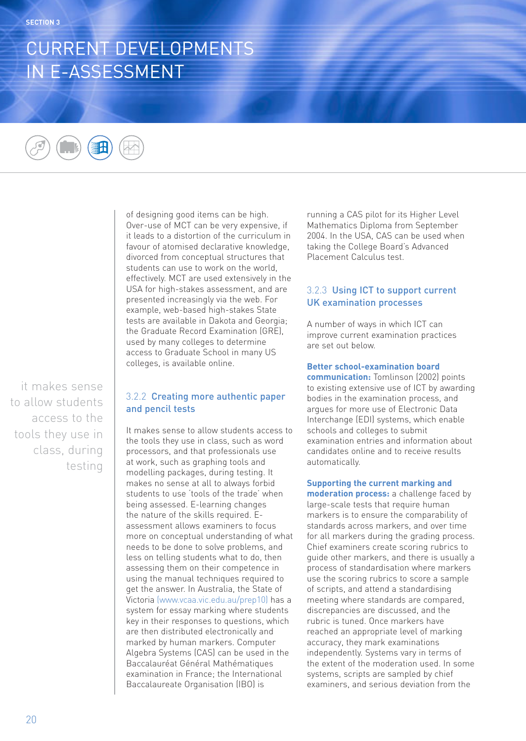## CURRENT DEVELOPMENTS IN E-ASSESSMENT



of designing good items can be high. Over-use of MCT can be very expensive, if it leads to a distortion of the curriculum in favour of atomised declarative knowledge, divorced from conceptual structures that students can use to work on the world, effectively. MCT are used extensively in the USA for high-stakes assessment, and are presented increasingly via the web. For example, web-based high-stakes State tests are available in Dakota and Georgia; the Graduate Record Examination (GRE), used by many colleges to determine access to Graduate School in many US colleges, is available online.

it makes sense to allow students access to the tools they use in class, during testing

### 3.2.2 Creating more authentic paper and pencil tests

It makes sense to allow students access to the tools they use in class, such as word processors, and that professionals use at work, such as graphing tools and modelling packages, during testing. It makes no sense at all to always forbid students to use 'tools of the trade' when being assessed. E-learning changes the nature of the skills required. Eassessment allows examiners to focus more on conceptual understanding of what needs to be done to solve problems, and less on telling students what to do, then assessing them on their competence in using the manual techniques required to get the answer. In Australia, the State of Victoria (www.vcaa.vic.edu.au/prep10) has a system for essay marking where students key in their responses to questions, which are then distributed electronically and marked by human markers. Computer Algebra Systems (CAS) can be used in the Baccalauréat Général Mathématiques examination in France; the International Baccalaureate Organisation (IBO) is

running a CAS pilot for its Higher Level Mathematics Diploma from September 2004. In the USA, CAS can be used when taking the College Board's Advanced Placement Calculus test.

## 3.2.3 Using ICT to support current UK examination processes

A number of ways in which ICT can improve current examination practices are set out below.

### **Better school-examination board**

**communication:** Tomlinson (2002) points to existing extensive use of ICT by awarding bodies in the examination process, and argues for more use of Electronic Data Interchange (EDI) systems, which enable schools and colleges to submit examination entries and information about candidates online and to receive results automatically.

## **Supporting the current marking and**

**moderation process:** a challenge faced by large-scale tests that require human markers is to ensure the comparability of standards across markers, and over time for all markers during the grading process. Chief examiners create scoring rubrics to guide other markers, and there is usually a process of standardisation where markers use the scoring rubrics to score a sample of scripts, and attend a standardising meeting where standards are compared, discrepancies are discussed, and the rubric is tuned. Once markers have reached an appropriate level of marking accuracy, they mark examinations independently. Systems vary in terms of the extent of the moderation used. In some systems, scripts are sampled by chief examiners, and serious deviation from the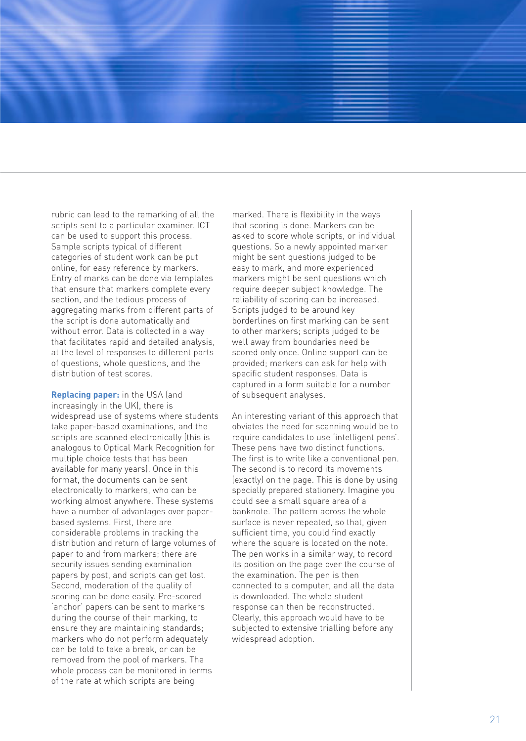rubric can lead to the remarking of all the scripts sent to a particular examiner. ICT can be used to support this process. Sample scripts typical of different categories of student work can be put online, for easy reference by markers. Entry of marks can be done via templates that ensure that markers complete every section, and the tedious process of aggregating marks from different parts of the script is done automatically and without error. Data is collected in a way that facilitates rapid and detailed analysis, at the level of responses to different parts of questions, whole questions, and the distribution of test scores.

**Replacing paper:** in the USA (and increasingly in the UK), there is widespread use of systems where students take paper-based examinations, and the scripts are scanned electronically (this is analogous to Optical Mark Recognition for multiple choice tests that has been available for many years). Once in this format, the documents can be sent electronically to markers, who can be working almost anywhere. These systems have a number of advantages over paperbased systems. First, there are considerable problems in tracking the distribution and return of large volumes of paper to and from markers; there are security issues sending examination papers by post, and scripts can get lost. Second, moderation of the quality of scoring can be done easily. Pre-scored 'anchor' papers can be sent to markers during the course of their marking, to ensure they are maintaining standards; markers who do not perform adequately can be told to take a break, or can be removed from the pool of markers. The whole process can be monitored in terms of the rate at which scripts are being

marked. There is flexibility in the ways that scoring is done. Markers can be asked to score whole scripts, or individual questions. So a newly appointed marker might be sent questions judged to be easy to mark, and more experienced markers might be sent questions which require deeper subject knowledge. The reliability of scoring can be increased. Scripts judged to be around key borderlines on first marking can be sent to other markers; scripts judged to be well away from boundaries need be scored only once. Online support can be provided; markers can ask for help with specific student responses. Data is captured in a form suitable for a number of subsequent analyses.

An interesting variant of this approach that obviates the need for scanning would be to require candidates to use 'intelligent pens'. These pens have two distinct functions. The first is to write like a conventional pen. The second is to record its movements (exactly) on the page. This is done by using specially prepared stationery. Imagine you could see a small square area of a banknote. The pattern across the whole surface is never repeated, so that, given sufficient time, you could find exactly where the square is located on the note. The pen works in a similar way, to record its position on the page over the course of the examination. The pen is then connected to a computer, and all the data is downloaded. The whole student response can then be reconstructed. Clearly, this approach would have to be subjected to extensive trialling before any widespread adoption.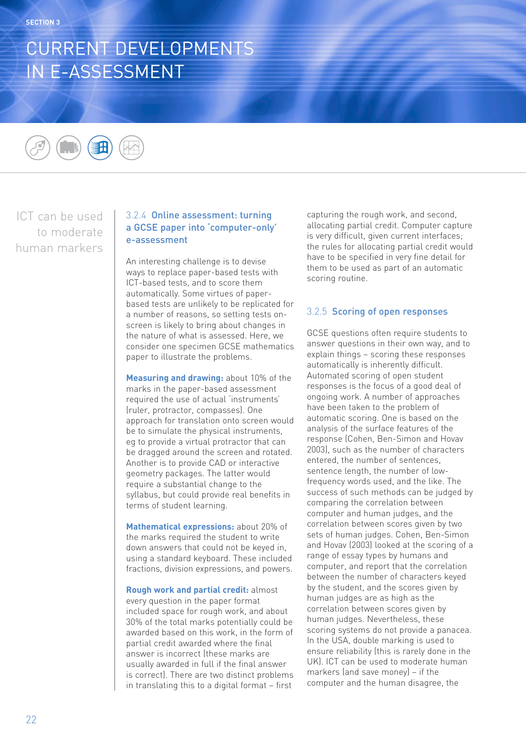## CURRENT DEVELOPMENTS IN E-ASSESSMENT



ICT can be used to moderate human markers

## 3.2.4 Online assessment: turning a GCSE paper into 'computer-only' e-assessment

An interesting challenge is to devise ways to replace paper-based tests with ICT-based tests, and to score them automatically. Some virtues of paperbased tests are unlikely to be replicated for a number of reasons, so setting tests onscreen is likely to bring about changes in the nature of what is assessed. Here, we consider one specimen GCSE mathematics paper to illustrate the problems.

**Measuring and drawing:** about 10% of the marks in the paper-based assessment required the use of actual 'instruments' (ruler, protractor, compasses). One approach for translation onto screen would be to simulate the physical instruments, eg to provide a virtual protractor that can be dragged around the screen and rotated. Another is to provide CAD or interactive geometry packages. The latter would require a substantial change to the syllabus, but could provide real benefits in terms of student learning.

**Mathematical expressions:** about 20% of the marks required the student to write down answers that could not be keyed in, using a standard keyboard. These included fractions, division expressions, and powers.

**Rough work and partial credit:** almost every question in the paper format included space for rough work, and about 30% of the total marks potentially could be awarded based on this work, in the form of partial credit awarded where the final answer is incorrect (these marks are usually awarded in full if the final answer is correct). There are two distinct problems in translating this to a digital format – first

capturing the rough work, and second, allocating partial credit. Computer capture is very difficult, given current interfaces; the rules for allocating partial credit would have to be specified in very fine detail for them to be used as part of an automatic scoring routine.

## 3.2.5 Scoring of open responses

GCSE questions often require students to answer questions in their own way, and to explain things – scoring these responses automatically is inherently difficult. Automated scoring of open student responses is the focus of a good deal of ongoing work. A number of approaches have been taken to the problem of automatic scoring. One is based on the analysis of the surface features of the response (Cohen, Ben-Simon and Hovav 2003), such as the number of characters entered, the number of sentences, sentence length, the number of lowfrequency words used, and the like. The success of such methods can be judged by comparing the correlation between computer and human judges, and the correlation between scores given by two sets of human judges. Cohen, Ben-Simon and Hovav (2003) looked at the scoring of a range of essay types by humans and computer, and report that the correlation between the number of characters keyed by the student, and the scores given by human judges are as high as the correlation between scores given by human judges. Nevertheless, these scoring systems do not provide a panacea. In the USA, double marking is used to ensure reliability (this is rarely done in the UK). ICT can be used to moderate human markers (and save money) – if the computer and the human disagree, the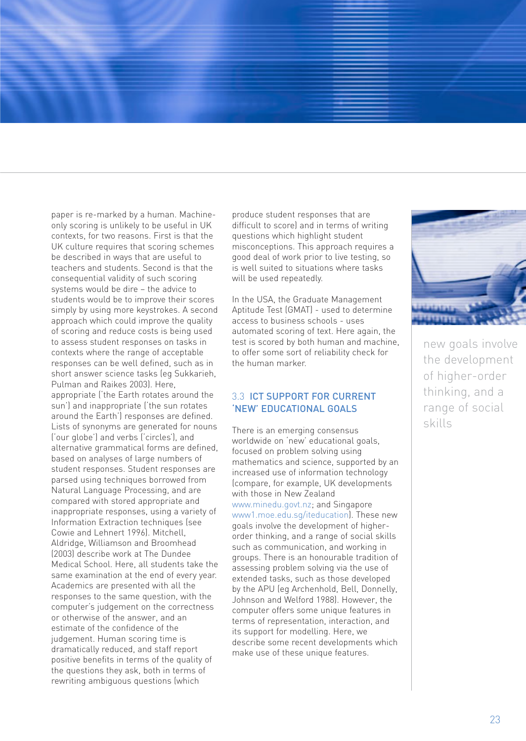paper is re-marked by a human. Machineonly scoring is unlikely to be useful in UK contexts, for two reasons. First is that the UK culture requires that scoring schemes be described in ways that are useful to teachers and students. Second is that the consequential validity of such scoring systems would be dire – the advice to students would be to improve their scores simply by using more keystrokes. A second approach which could improve the quality of scoring and reduce costs is being used to assess student responses on tasks in contexts where the range of acceptable responses can be well defined, such as in short answer science tasks (eg Sukkarieh, Pulman and Raikes 2003). Here, appropriate ('the Earth rotates around the sun') and inappropriate ('the sun rotates around the Earth') responses are defined. Lists of synonyms are generated for nouns ('our globe') and verbs ('circles'), and alternative grammatical forms are defined, based on analyses of large numbers of student responses. Student responses are parsed using techniques borrowed from Natural Language Processing, and are compared with stored appropriate and inappropriate responses, using a variety of Information Extraction techniques (see Cowie and Lehnert 1996). Mitchell, Aldridge, Williamson and Broomhead (2003) describe work at The Dundee Medical School. Here, all students take the same examination at the end of every year. Academics are presented with all the responses to the same question, with the computer's judgement on the correctness or otherwise of the answer, and an estimate of the confidence of the judgement. Human scoring time is dramatically reduced, and staff report positive benefits in terms of the quality of the questions they ask, both in terms of rewriting ambiguous questions (which

produce student responses that are difficult to score) and in terms of writing questions which highlight student misconceptions. This approach requires a good deal of work prior to live testing, so is well suited to situations where tasks will be used repeatedly.

In the USA, the Graduate Management Aptitude Test (GMAT) - used to determine access to business schools - uses automated scoring of text. Here again, the test is scored by both human and machine, to offer some sort of reliability check for the human marker.

## 3.3 ICT SUPPORT FOR CURRENT 'NEW' EDUCATIONAL GOALS

There is an emerging consensus worldwide on 'new' educational goals, focused on problem solving using mathematics and science, supported by an increased use of information technology (compare, for example, UK developments with those in New Zealand www.minedu.govt.nz; and Singapore www1.moe.edu.sg/iteducation). These new goals involve the development of higherorder thinking, and a range of social skills such as communication, and working in groups. There is an honourable tradition of assessing problem solving via the use of extended tasks, such as those developed by the APU (eg Archenhold, Bell, Donnelly, Johnson and Welford 1988). However, the computer offers some unique features in terms of representation, interaction, and its support for modelling. Here, we describe some recent developments which make use of these unique features.



new goals involve the development of higher-order thinking, and a range of social skills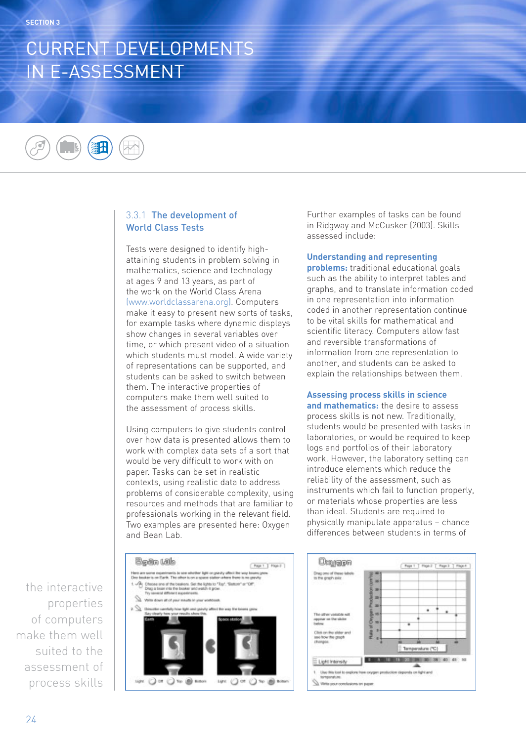## CURRENT DEVELOPMENTS IN E-ASSESSMENT

## 3.3.1 The development of World Class Tests

Tests were designed to identify highattaining students in problem solving in mathematics, science and technology at ages 9 and 13 years, as part of the work on the World Class Arena (www.worldclassarena.org). Computers make it easy to present new sorts of tasks, for example tasks where dynamic displays show changes in several variables over time, or which present video of a situation which students must model. A wide variety of representations can be supported, and students can be asked to switch between them. The interactive properties of computers make them well suited to the assessment of process skills.

Using computers to give students control over how data is presented allows them to work with complex data sets of a sort that would be very difficult to work with on paper. Tasks can be set in realistic contexts, using realistic data to address problems of considerable complexity, using resources and methods that are familiar to professionals working in the relevant field. Two examples are presented here: Oxygen and Bean Lab.

Further examples of tasks can be found in Ridgway and McCusker (2003). Skills assessed include:

#### **Understanding and representing**

**problems:** traditional educational goals such as the ability to interpret tables and graphs, and to translate information coded in one representation into information coded in another representation continue to be vital skills for mathematical and scientific literacy. Computers allow fast and reversible transformations of information from one representation to another, and students can be asked to explain the relationships between them.

#### **Assessing process skills in science**

**and mathematics:** the desire to assess process skills is not new. Traditionally, students would be presented with tasks in laboratories, or would be required to keep logs and portfolios of their laboratory work. However, the laboratory setting can introduce elements which reduce the reliability of the assessment, such as instruments which fail to function properly, or materials whose properties are less than ideal. Students are required to physically manipulate apparatus – chance differences between students in terms of

the interactive properties of computers make them well suited to the assessment of process skills



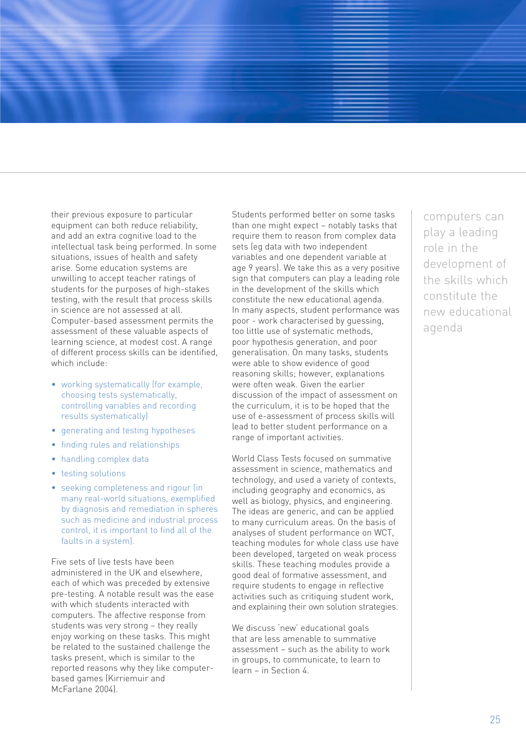their previous exposure to particular equipment can both reduce reliability, and add an extra cognitive load to the intellectual task being performed. In some situations, issues of health and safety arise. Some education systems are unwilling to accept teacher ratings of students for the purposes of high-stakes testing, with the result that process skills in science are not assessed at all. Computer-based assessment permits the assessment of these valuable aspects of learning science, at modest cost. A range of different process skills can be identified, which include:

- working systematically (for example, choosing tests systematically, controlling variables and recording results systematically)
- generating and testing hypotheses
- finding rules and relationships
- handling complex data
- testing solutions
- seeking completeness and rigour (in many real-world situations, exemplified by diagnosis and remediation in spheres such as medicine and industrial process control, it is important to find all of the faults in a system).

Five sets of live tests have been administered in the UK and elsewhere, each of which was preceded by extensive pre-testing. A notable result was the ease with which students interacted with computers. The affective response from students was very strong – they really enjoy working on these tasks. This might be related to the sustained challenge the tasks present, which is similar to the reported reasons why they like computerbased games (Kirriemuir and McFarlane 2004).

Students performed better on some tasks than one might expect – notably tasks that require them to reason from complex data sets (eg data with two independent variables and one dependent variable at age 9 years). We take this as a very positive sign that computers can play a leading role in the development of the skills which constitute the new educational agenda. In many aspects, student performance was poor - work characterised by guessing, too little use of systematic methods, poor hypothesis generation, and poor generalisation. On many tasks, students were able to show evidence of good reasoning skills; however, explanations were often weak. Given the earlier discussion of the impact of assessment on the curriculum, it is to be hoped that the use of e-assessment of process skills will lead to better student performance on a range of important activities.

World Class Tests focused on summative assessment in science, mathematics and technology, and used a variety of contexts, including geography and economics, as well as biology, physics, and engineering. The ideas are generic, and can be applied to many curriculum areas. On the basis of analyses of student performance on WCT, teaching modules for whole class use have been developed, targeted on weak process skills. These teaching modules provide a good deal of formative assessment, and require students to engage in reflective activities such as critiquing student work, and explaining their own solution strategies.

We discuss 'new' educational goals that are less amenable to summative assessment – such as the ability to work in groups, to communicate, to learn to learn – in Section 4.

computers can play a leading role in the development of the skills which constitute the new educational agenda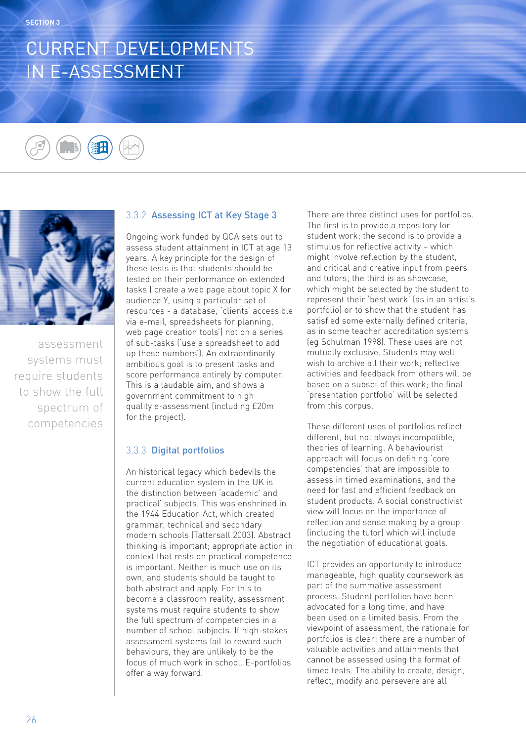## CURRENT DEVELOPMENTS IN E-ASSESSMENT





assessment systems must require students to show the full spectrum of competencies

## 3.3.2 Assessing ICT at Key Stage 3

Ongoing work funded by QCA sets out to assess student attainment in ICT at age 13 years. A key principle for the design of these tests is that students should be tested on their performance on extended tasks ('create a web page about topic X for audience Y, using a particular set of resources - a database, 'clients' accessible via e-mail, spreadsheets for planning, web page creation tools') not on a series of sub-tasks ('use a spreadsheet to add up these numbers'). An extraordinarily ambitious goal is to present tasks and score performance entirely by computer. This is a laudable aim, and shows a government commitment to high quality e-assessment (including £20m for the project).

## 3.3.3 Digital portfolios

An historical legacy which bedevils the current education system in the UK is the distinction between 'academic' and practical' subjects. This was enshrined in the 1944 Education Act, which created grammar, technical and secondary modern schools (Tattersall 2003). Abstract thinking is important; appropriate action in context that rests on practical competence is important. Neither is much use on its own, and students should be taught to both abstract and apply. For this to become a classroom reality, assessment systems must require students to show the full spectrum of competencies in a number of school subjects. If high-stakes assessment systems fail to reward such behaviours, they are unlikely to be the focus of much work in school. E-portfolios offer a way forward.

There are three distinct uses for portfolios. The first is to provide a repository for student work; the second is to provide a stimulus for reflective activity – which might involve reflection by the student, and critical and creative input from peers and tutors; the third is as showcase, which might be selected by the student to represent their 'best work' (as in an artist's portfolio) or to show that the student has satisfied some externally defined criteria, as in some teacher accreditation systems (eg Schulman 1998). These uses are not mutually exclusive. Students may well wish to archive all their work; reflective activities and feedback from others will be based on a subset of this work; the final 'presentation portfolio' will be selected from this corpus.

These different uses of portfolios reflect different, but not always incompatible, theories of learning. A behaviourist approach will focus on defining 'core competencies' that are impossible to assess in timed examinations, and the need for fast and efficient feedback on student products. A social constructivist view will focus on the importance of reflection and sense making by a group (including the tutor) which will include the negotiation of educational goals.

ICT provides an opportunity to introduce manageable, high quality coursework as part of the summative assessment process. Student portfolios have been advocated for a long time, and have been used on a limited basis. From the viewpoint of assessment, the rationale for portfolios is clear: there are a number of valuable activities and attainments that cannot be assessed using the format of timed tests. The ability to create, design, reflect, modify and persevere are all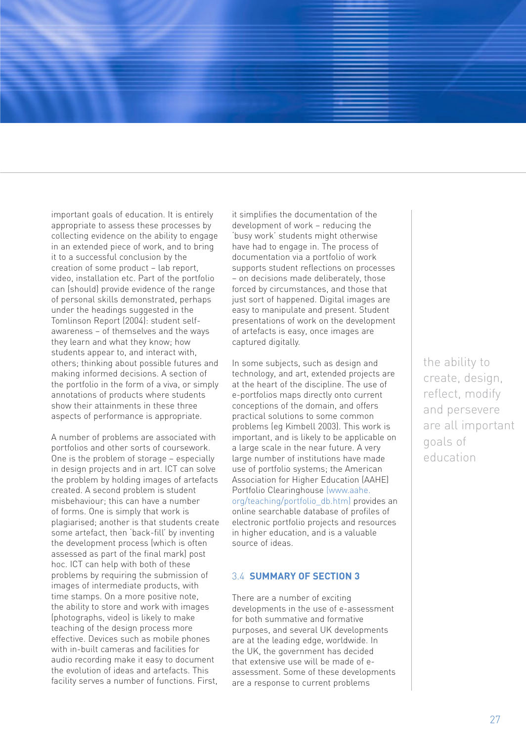important goals of education. It is entirely appropriate to assess these processes by collecting evidence on the ability to engage in an extended piece of work, and to bring it to a successful conclusion by the creation of some product – lab report, video, installation etc. Part of the portfolio can (should) provide evidence of the range of personal skills demonstrated, perhaps under the headings suggested in the Tomlinson Report (2004): student selfawareness – of themselves and the ways they learn and what they know; how students appear to, and interact with, others; thinking about possible futures and making informed decisions. A section of the portfolio in the form of a viva, or simply annotations of products where students show their attainments in these three aspects of performance is appropriate.

A number of problems are associated with portfolios and other sorts of coursework. One is the problem of storage – especially in design projects and in art. ICT can solve the problem by holding images of artefacts created. A second problem is student misbehaviour; this can have a number of forms. One is simply that work is plagiarised; another is that students create some artefact, then 'back-fill' by inventing the development process (which is often assessed as part of the final mark) post hoc. ICT can help with both of these problems by requiring the submission of images of intermediate products, with time stamps. On a more positive note, the ability to store and work with images (photographs, video) is likely to make teaching of the design process more effective. Devices such as mobile phones with in-built cameras and facilities for audio recording make it easy to document the evolution of ideas and artefacts. This facility serves a number of functions. First,

it simplifies the documentation of the development of work – reducing the 'busy work' students might otherwise have had to engage in. The process of documentation via a portfolio of work supports student reflections on processes – on decisions made deliberately, those forced by circumstances, and those that just sort of happened. Digital images are easy to manipulate and present. Student presentations of work on the development of artefacts is easy, once images are captured digitally.

In some subjects, such as design and technology, and art, extended projects are at the heart of the discipline. The use of e-portfolios maps directly onto current conceptions of the domain, and offers practical solutions to some common problems (eg Kimbell 2003). This work is important, and is likely to be applicable on a large scale in the near future. A very large number of institutions have made use of portfolio systems; the American Association for Higher Education (AAHE) Portfolio Clearinghouse (www.aahe. org/teaching/portfolio\_db.htm) provides an online searchable database of profiles of electronic portfolio projects and resources in higher education, and is a valuable source of ideas.

### 3.4 **SUMMARY OF SECTION 3**

There are a number of exciting developments in the use of e-assessment for both summative and formative purposes, and several UK developments are at the leading edge, worldwide. In the UK, the government has decided that extensive use will be made of eassessment. Some of these developments are a response to current problems

the ability to create, design, reflect, modify and persevere are all important goals of education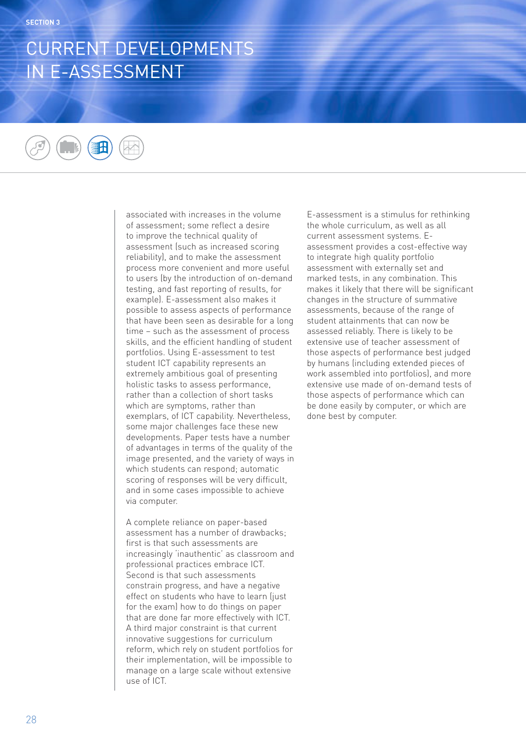## CURRENT DEVELOPMENTS IN E-ASSESSMENT

associated with increases in the volume of assessment; some reflect a desire to improve the technical quality of assessment (such as increased scoring reliability), and to make the assessment process more convenient and more useful to users (by the introduction of on-demand testing, and fast reporting of results, for example). E-assessment also makes it possible to assess aspects of performance that have been seen as desirable for a long time – such as the assessment of process skills, and the efficient handling of student portfolios. Using E-assessment to test student ICT capability represents an extremely ambitious goal of presenting holistic tasks to assess performance, rather than a collection of short tasks which are symptoms, rather than exemplars, of ICT capability. Nevertheless, some major challenges face these new developments. Paper tests have a number of advantages in terms of the quality of the image presented, and the variety of ways in which students can respond; automatic scoring of responses will be very difficult, and in some cases impossible to achieve via computer.

A complete reliance on paper-based assessment has a number of drawbacks; first is that such assessments are increasingly 'inauthentic' as classroom and professional practices embrace ICT. Second is that such assessments constrain progress, and have a negative effect on students who have to learn (just for the exam) how to do things on paper that are done far more effectively with ICT. A third major constraint is that current innovative suggestions for curriculum reform, which rely on student portfolios for their implementation, will be impossible to manage on a large scale without extensive use of ICT.

E-assessment is a stimulus for rethinking the whole curriculum, as well as all current assessment systems. Eassessment provides a cost-effective way to integrate high quality portfolio assessment with externally set and marked tests, in any combination. This makes it likely that there will be significant changes in the structure of summative assessments, because of the range of student attainments that can now be assessed reliably. There is likely to be extensive use of teacher assessment of those aspects of performance best judged by humans (including extended pieces of work assembled into portfolios), and more extensive use made of on-demand tests of those aspects of performance which can be done easily by computer, or which are done best by computer.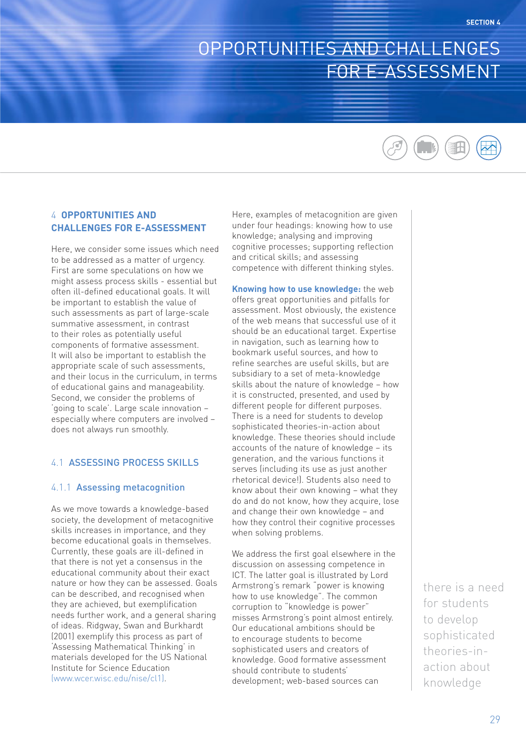## OPPORTUNITIES AND CHALLENGES FOR E-ASSESSMENT



## 4 **OPPORTUNITIES AND CHALLENGES FOR E-ASSESSMENT**

Here, we consider some issues which need to be addressed as a matter of urgency. First are some speculations on how we might assess process skills - essential but often ill-defined educational goals. It will be important to establish the value of such assessments as part of large-scale summative assessment, in contrast to their roles as potentially useful components of formative assessment. It will also be important to establish the appropriate scale of such assessments, and their locus in the curriculum, in terms of educational gains and manageability. Second, we consider the problems of 'going to scale'. Large scale innovation – especially where computers are involved – does not always run smoothly.

## 4.1 ASSESSING PROCESS SKILLS

#### 4.1.1 Assessing metacognition

As we move towards a knowledge-based society, the development of metacognitive skills increases in importance, and they become educational goals in themselves. Currently, these goals are ill-defined in that there is not yet a consensus in the educational community about their exact nature or how they can be assessed. Goals can be described, and recognised when they are achieved, but exemplification needs further work, and a general sharing of ideas. Ridgway, Swan and Burkhardt (2001) exemplify this process as part of 'Assessing Mathematical Thinking' in materials developed for the US National Institute for Science Education (www.wcer.wisc.edu/nise/cl1).

Here, examples of metacognition are given under four headings: knowing how to use knowledge; analysing and improving cognitive processes; supporting reflection and critical skills; and assessing competence with different thinking styles.

**Knowing how to use knowledge:** the web offers great opportunities and pitfalls for assessment. Most obviously, the existence of the web means that successful use of it should be an educational target. Expertise in navigation, such as learning how to bookmark useful sources, and how to refine searches are useful skills, but are subsidiary to a set of meta-knowledge skills about the nature of knowledge – how it is constructed, presented, and used by different people for different purposes. There is a need for students to develop sophisticated theories-in-action about knowledge. These theories should include accounts of the nature of knowledge – its generation, and the various functions it serves (including its use as just another rhetorical device!). Students also need to know about their own knowing – what they do and do not know, how they acquire, lose and change their own knowledge – and how they control their cognitive processes when solving problems.

We address the first goal elsewhere in the discussion on assessing competence in ICT. The latter goal is illustrated by Lord Armstrong's remark "power is knowing how to use knowledge". The common corruption to "knowledge is power" misses Armstrong's point almost entirely. Our educational ambitions should be to encourage students to become sophisticated users and creators of knowledge. Good formative assessment should contribute to students' development; web-based sources can

there is a need for students to develop sophisticated theories-inaction about knowledge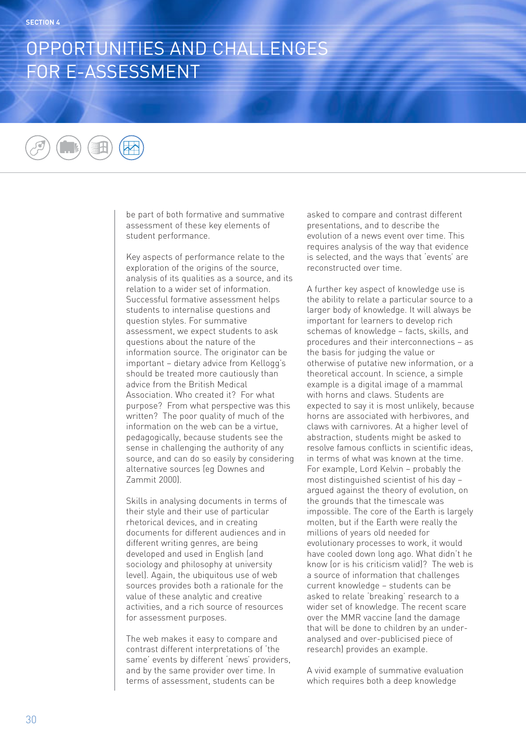# OPPORTUNITIES AND CHALLENGES FOR E-ASSESSMENT

be part of both formative and summative assessment of these key elements of student performance.

Key aspects of performance relate to the exploration of the origins of the source, analysis of its qualities as a source, and its relation to a wider set of information. Successful formative assessment helps students to internalise questions and question styles. For summative assessment, we expect students to ask questions about the nature of the information source. The originator can be important – dietary advice from Kellogg's should be treated more cautiously than advice from the British Medical Association. Who created it? For what purpose? From what perspective was this written? The poor quality of much of the information on the web can be a virtue, pedagogically, because students see the sense in challenging the authority of any source, and can do so easily by considering alternative sources (eg Downes and Zammit 2000).

Skills in analysing documents in terms of their style and their use of particular rhetorical devices, and in creating documents for different audiences and in different writing genres, are being developed and used in English (and sociology and philosophy at university level). Again, the ubiquitous use of web sources provides both a rationale for the value of these analytic and creative activities, and a rich source of resources for assessment purposes.

The web makes it easy to compare and contrast different interpretations of 'the same' events by different 'news' providers, and by the same provider over time. In terms of assessment, students can be

asked to compare and contrast different presentations, and to describe the evolution of a news event over time. This requires analysis of the way that evidence is selected, and the ways that 'events' are reconstructed over time.

A further key aspect of knowledge use is the ability to relate a particular source to a larger body of knowledge. It will always be important for learners to develop rich schemas of knowledge – facts, skills, and procedures and their interconnections – as the basis for judging the value or otherwise of putative new information, or a theoretical account. In science, a simple example is a digital image of a mammal with horns and claws. Students are expected to say it is most unlikely, because horns are associated with herbivores, and claws with carnivores. At a higher level of abstraction, students might be asked to resolve famous conflicts in scientific ideas, in terms of what was known at the time. For example, Lord Kelvin – probably the most distinguished scientist of his day – argued against the theory of evolution, on the grounds that the timescale was impossible. The core of the Earth is largely molten, but if the Earth were really the millions of years old needed for evolutionary processes to work, it would have cooled down long ago. What didn't he know (or is his criticism valid)? The web is a source of information that challenges current knowledge – students can be asked to relate 'breaking' research to a wider set of knowledge. The recent scare over the MMR vaccine (and the damage that will be done to children by an underanalysed and over-publicised piece of research) provides an example.

A vivid example of summative evaluation which requires both a deep knowledge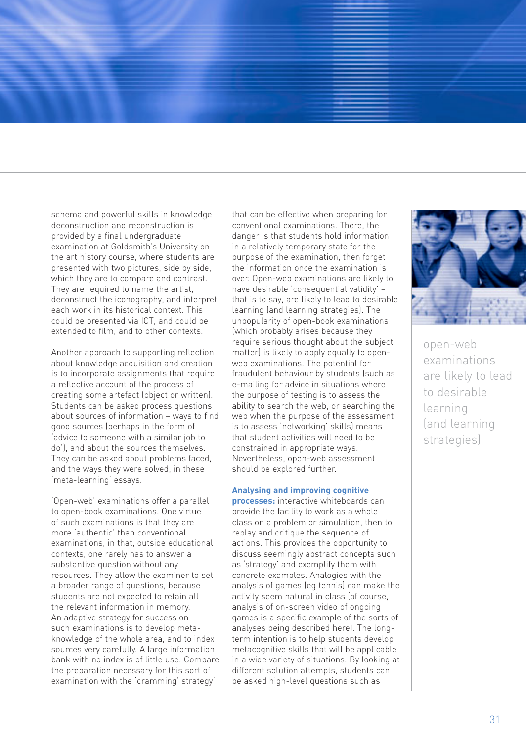schema and powerful skills in knowledge deconstruction and reconstruction is provided by a final undergraduate examination at Goldsmith's University on the art history course, where students are presented with two pictures, side by side, which they are to compare and contrast. They are required to name the artist, deconstruct the iconography, and interpret each work in its historical context. This could be presented via ICT, and could be extended to film, and to other contexts.

Another approach to supporting reflection about knowledge acquisition and creation is to incorporate assignments that require a reflective account of the process of creating some artefact (object or written). Students can be asked process questions about sources of information – ways to find good sources (perhaps in the form of 'advice to someone with a similar job to do'), and about the sources themselves. They can be asked about problems faced, and the ways they were solved, in these 'meta-learning' essays.

'Open-web' examinations offer a parallel to open-book examinations. One virtue of such examinations is that they are more 'authentic' than conventional examinations, in that, outside educational contexts, one rarely has to answer a substantive question without any resources. They allow the examiner to set a broader range of questions, because students are not expected to retain all the relevant information in memory. An adaptive strategy for success on such examinations is to develop metaknowledge of the whole area, and to index sources very carefully. A large information bank with no index is of little use. Compare the preparation necessary for this sort of examination with the 'cramming' strategy'

that can be effective when preparing for conventional examinations. There, the danger is that students hold information in a relatively temporary state for the purpose of the examination, then forget the information once the examination is over. Open-web examinations are likely to have desirable 'consequential validity' – that is to say, are likely to lead to desirable learning (and learning strategies). The unpopularity of open-book examinations (which probably arises because they require serious thought about the subject matter) is likely to apply equally to openweb examinations. The potential for fraudulent behaviour by students (such as e-mailing for advice in situations where the purpose of testing is to assess the ability to search the web, or searching the web when the purpose of the assessment is to assess 'networking' skills) means that student activities will need to be constrained in appropriate ways. Nevertheless, open-web assessment should be explored further.

#### **Analysing and improving cognitive**

**processes:** interactive whiteboards can provide the facility to work as a whole class on a problem or simulation, then to replay and critique the sequence of actions. This provides the opportunity to discuss seemingly abstract concepts such as 'strategy' and exemplify them with concrete examples. Analogies with the analysis of games (eg tennis) can make the activity seem natural in class (of course, analysis of on-screen video of ongoing games is a specific example of the sorts of analyses being described here). The longterm intention is to help students develop metacognitive skills that will be applicable in a wide variety of situations. By looking at different solution attempts, students can be asked high-level questions such as



open-web examinations are likely to lead to desirable learning (and learning strategies)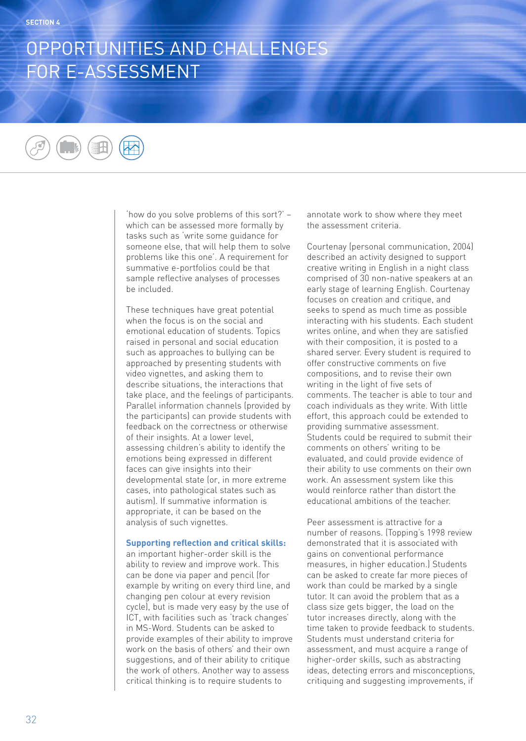## OPPORTUNITIES AND CHALLENGES FOR E-ASSESSMENT

'how do you solve problems of this sort?' – which can be assessed more formally by tasks such as 'write some guidance for someone else, that will help them to solve problems like this one'. A requirement for summative e-portfolios could be that sample reflective analyses of processes be included.

These techniques have great potential when the focus is on the social and emotional education of students. Topics raised in personal and social education such as approaches to bullying can be approached by presenting students with video vignettes, and asking them to describe situations, the interactions that take place, and the feelings of participants. Parallel information channels (provided by the participants) can provide students with feedback on the correctness or otherwise of their insights. At a lower level, assessing children's ability to identify the emotions being expressed in different faces can give insights into their developmental state (or, in more extreme cases, into pathological states such as autism). If summative information is appropriate, it can be based on the analysis of such vignettes.

#### **Supporting reflection and critical skills:**

an important higher-order skill is the ability to review and improve work. This can be done via paper and pencil (for example by writing on every third line, and changing pen colour at every revision cycle), but is made very easy by the use of ICT, with facilities such as 'track changes' in MS-Word. Students can be asked to provide examples of their ability to improve work on the basis of others' and their own suggestions, and of their ability to critique the work of others. Another way to assess critical thinking is to require students to

annotate work to show where they meet the assessment criteria.

Courtenay (personal communication, 2004) described an activity designed to support creative writing in English in a night class comprised of 30 non-native speakers at an early stage of learning English. Courtenay focuses on creation and critique, and seeks to spend as much time as possible interacting with his students. Each student writes online, and when they are satisfied with their composition, it is posted to a shared server. Every student is required to offer constructive comments on five compositions, and to revise their own writing in the light of five sets of comments. The teacher is able to tour and coach individuals as they write. With little effort, this approach could be extended to providing summative assessment. Students could be required to submit their comments on others' writing to be evaluated, and could provide evidence of their ability to use comments on their own work. An assessment system like this would reinforce rather than distort the educational ambitions of the teacher.

Peer assessment is attractive for a number of reasons. (Topping's 1998 review demonstrated that it is associated with gains on conventional performance measures, in higher education.) Students can be asked to create far more pieces of work than could be marked by a single tutor. It can avoid the problem that as a class size gets bigger, the load on the tutor increases directly, along with the time taken to provide feedback to students. Students must understand criteria for assessment, and must acquire a range of higher-order skills, such as abstracting ideas, detecting errors and misconceptions, critiquing and suggesting improvements, if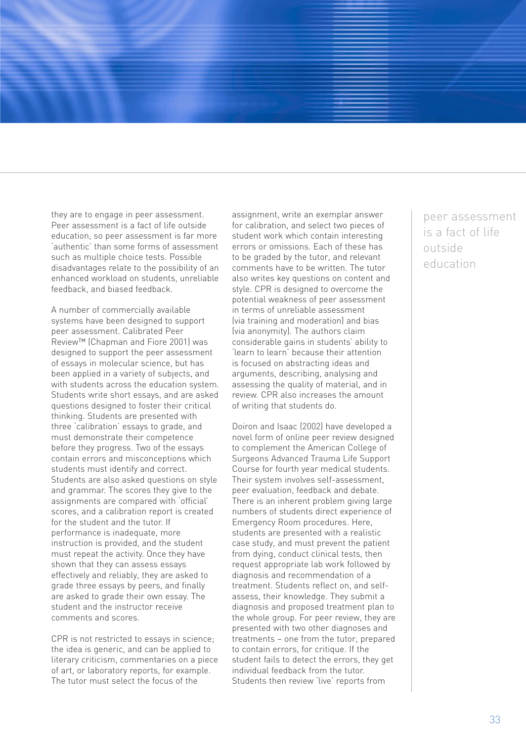they are to engage in peer assessment. Peer assessment is a fact of life outside education, so peer assessment is far more 'authentic' than some forms of assessment such as multiple choice tests. Possible disadvantages relate to the possibility of an enhanced workload on students, unreliable feedback, and biased feedback.

A number of commercially available systems have been designed to support peer assessment. Calibrated Peer Review™ (Chapman and Fiore 2001) was designed to support the peer assessment of essays in molecular science, but has been applied in a variety of subjects, and with students across the education system. Students write short essays, and are asked questions designed to foster their critical thinking. Students are presented with three 'calibration' essays to grade, and must demonstrate their competence before they progress. Two of the essays contain errors and misconceptions which students must identify and correct. Students are also asked questions on style and grammar. The scores they give to the assignments are compared with 'official' scores, and a calibration report is created for the student and the tutor. If performance is inadequate, more instruction is provided, and the student must repeat the activity. Once they have shown that they can assess essays effectively and reliably, they are asked to grade three essays by peers, and finally are asked to grade their own essay. The student and the instructor receive comments and scores.

CPR is not restricted to essays in science; the idea is generic, and can be applied to literary criticism, commentaries on a piece of art, or laboratory reports, for example. The tutor must select the focus of the

assignment, write an exemplar answer for calibration, and select two pieces of student work which contain interesting errors or omissions. Each of these has to be graded by the tutor, and relevant comments have to be written. The tutor also writes key questions on content and style. CPR is designed to overcome the potential weakness of peer assessment in terms of unreliable assessment (via training and moderation) and bias (via anonymity). The authors claim considerable gains in students' ability to 'learn to learn' because their attention is focused on abstracting ideas and arguments, describing, analysing and assessing the quality of material, and in review. CPR also increases the amount of writing that students do.

Doiron and Isaac (2002) have developed a novel form of online peer review designed to complement the American College of Surgeons Advanced Trauma Life Support Course for fourth year medical students. Their system involves self-assessment, peer evaluation, feedback and debate. There is an inherent problem giving large numbers of students direct experience of Emergency Room procedures. Here, students are presented with a realistic case study, and must prevent the patient from dying, conduct clinical tests, then request appropriate lab work followed by diagnosis and recommendation of a treatment. Students reflect on, and selfassess, their knowledge. They submit a diagnosis and proposed treatment plan to the whole group. For peer review, they are presented with two other diagnoses and treatments – one from the tutor, prepared to contain errors, for critique. If the student fails to detect the errors, they get individual feedback from the tutor. Students then review 'live' reports from

peer assessment is a fact of life outside education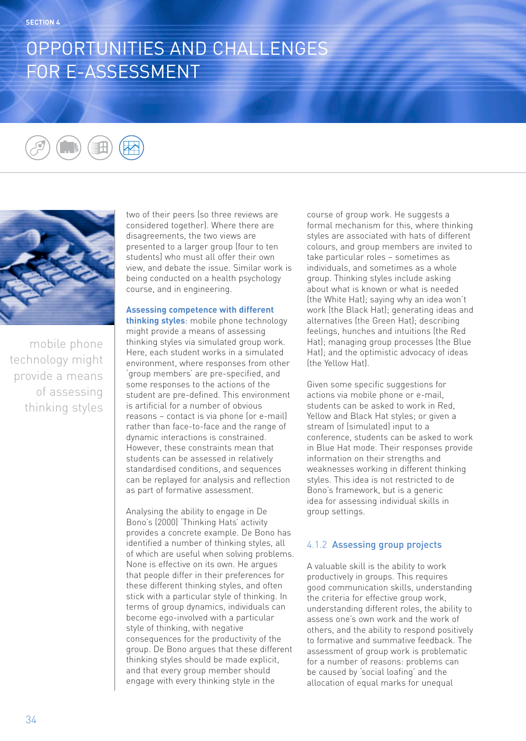# OPPORTUNITIES AND CHALLENGES FOR E-ASSESSMENT



mobile phone technology might provide a means of assessing thinking styles two of their peers (so three reviews are considered together). Where there are disagreements, the two views are presented to a larger group (four to ten students) who must all offer their own view, and debate the issue. Similar work is being conducted on a health psychology course, and in engineering.

### **Assessing competence with different**

**thinking styles**: mobile phone technology might provide a means of assessing thinking styles via simulated group work. Here, each student works in a simulated environment, where responses from other 'group members' are pre-specified, and some responses to the actions of the student are pre-defined. This environment is artificial for a number of obvious reasons – contact is via phone (or e-mail) rather than face-to-face and the range of dynamic interactions is constrained. However, these constraints mean that students can be assessed in relatively standardised conditions, and sequences can be replayed for analysis and reflection as part of formative assessment.

Analysing the ability to engage in De Bono's (2000) 'Thinking Hats' activity provides a concrete example. De Bono has identified a number of thinking styles, all of which are useful when solving problems. None is effective on its own. He argues that people differ in their preferences for these different thinking styles, and often stick with a particular style of thinking. In terms of group dynamics, individuals can become ego-involved with a particular style of thinking, with negative consequences for the productivity of the group. De Bono argues that these different thinking styles should be made explicit, and that every group member should engage with every thinking style in the

course of group work. He suggests a formal mechanism for this, where thinking styles are associated with hats of different colours, and group members are invited to take particular roles – sometimes as individuals, and sometimes as a whole group. Thinking styles include asking about what is known or what is needed (the White Hat); saying why an idea won't work (the Black Hat); generating ideas and alternatives (the Green Hat); describing feelings, hunches and intuitions (the Red Hat); managing group processes (the Blue Hat); and the optimistic advocacy of ideas (the Yellow Hat).

Given some specific suggestions for actions via mobile phone or e-mail, students can be asked to work in Red, Yellow and Black Hat styles; or given a stream of (simulated) input to a conference, students can be asked to work in Blue Hat mode. Their responses provide information on their strengths and weaknesses working in different thinking styles. This idea is not restricted to de Bono's framework, but is a generic idea for assessing individual skills in group settings.

### 4.1.2 Assessing group projects

A valuable skill is the ability to work productively in groups. This requires good communication skills, understanding the criteria for effective group work, understanding different roles, the ability to assess one's own work and the work of others, and the ability to respond positively to formative and summative feedback. The assessment of group work is problematic for a number of reasons: problems can be caused by 'social loafing' and the allocation of equal marks for unequal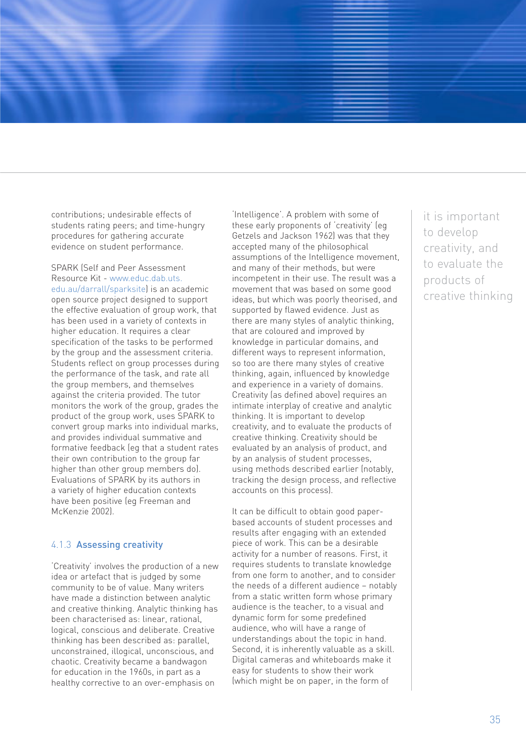contributions; undesirable effects of students rating peers; and time-hungry procedures for gathering accurate evidence on student performance.

SPARK (Self and Peer Assessment Resource Kit - www.educ.dab.uts. edu.au/darrall/sparksite) is an academic open source project designed to support the effective evaluation of group work, that has been used in a variety of contexts in higher education. It requires a clear specification of the tasks to be performed by the group and the assessment criteria. Students reflect on group processes during the performance of the task, and rate all the group members, and themselves against the criteria provided. The tutor monitors the work of the group, grades the product of the group work, uses SPARK to convert group marks into individual marks, and provides individual summative and formative feedback (eg that a student rates their own contribution to the group far higher than other group members do). Evaluations of SPARK by its authors in a variety of higher education contexts have been positive (eg Freeman and McKenzie 2002).

### 4.1.3 Assessing creativity

'Creativity' involves the production of a new idea or artefact that is judged by some community to be of value. Many writers have made a distinction between analytic and creative thinking. Analytic thinking has been characterised as: linear, rational, logical, conscious and deliberate. Creative thinking has been described as: parallel, unconstrained, illogical, unconscious, and chaotic. Creativity became a bandwagon for education in the 1960s, in part as a healthy corrective to an over-emphasis on

'Intelligence'. A problem with some of these early proponents of 'creativity' (eg Getzels and Jackson 1962) was that they accepted many of the philosophical assumptions of the Intelligence movement, and many of their methods, but were incompetent in their use. The result was a movement that was based on some good ideas, but which was poorly theorised, and supported by flawed evidence. Just as there are many styles of analytic thinking, that are coloured and improved by knowledge in particular domains, and different ways to represent information, so too are there many styles of creative thinking, again, influenced by knowledge and experience in a variety of domains. Creativity (as defined above) requires an intimate interplay of creative and analytic thinking. It is important to develop creativity, and to evaluate the products of creative thinking. Creativity should be evaluated by an analysis of product, and by an analysis of student processes, using methods described earlier (notably, tracking the design process, and reflective accounts on this process).

It can be difficult to obtain good paperbased accounts of student processes and results after engaging with an extended piece of work. This can be a desirable activity for a number of reasons. First, it requires students to translate knowledge from one form to another, and to consider the needs of a different audience – notably from a static written form whose primary audience is the teacher, to a visual and dynamic form for some predefined audience, who will have a range of understandings about the topic in hand. Second, it is inherently valuable as a skill. Digital cameras and whiteboards make it easy for students to show their work (which might be on paper, in the form of

it is important to develop creativity, and to evaluate the products of creative thinking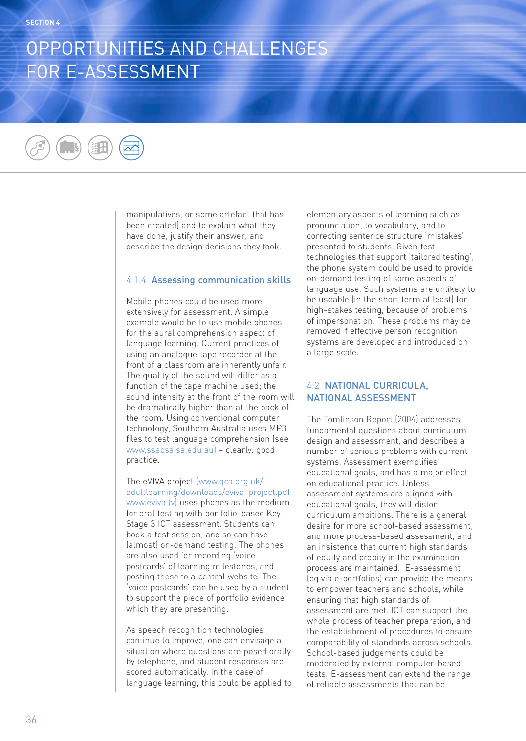# OPPORTUNITIES AND CHALLENGES FOR E-ASSESSMENT

manipulatives, or some artefact that has been created) and to explain what they have done, justify their answer, and describe the design decisions they took.

## 4.1.4 Assessing communication skills

Mobile phones could be used more extensively for assessment. A simple example would be to use mobile phones for the aural comprehension aspect of language learning. Current practices of using an analogue tape recorder at the front of a classroom are inherently unfair. The quality of the sound will differ as a function of the tape machine used; the sound intensity at the front of the room will be dramatically higher than at the back of the room. Using conventional computer technology, Southern Australia uses MP3 files to test language comprehension (see www.ssabsa.sa.edu.au) – clearly, good practice.

The eVIVA project (www.qca.org.uk/ adultlearning/downloads/eviva\_project.pdf, www.eviva.tv) uses phones as the medium for oral testing with portfolio-based Key Stage 3 ICT assessment. Students can book a test session, and so can have (almost) on-demand testing. The phones are also used for recording 'voice postcards' of learning milestones, and posting these to a central website. The 'voice postcards' can be used by a student to support the piece of portfolio evidence which they are presenting.

As speech recognition technologies continue to improve, one can envisage a situation where questions are posed orally by telephone, and student responses are scored automatically. In the case of language learning, this could be applied to elementary aspects of learning such as pronunciation, to vocabulary, and to correcting sentence structure 'mistakes' presented to students. Given test technologies that support 'tailored testing', the phone system could be used to provide on-demand testing of some aspects of language use. Such systems are unlikely to be useable (in the short term at least) for high-stakes testing, because of problems of impersonation. These problems may be removed if effective person recognition systems are developed and introduced on a large scale.

## 4.2 NATIONAL CURRICULA, NATIONAL ASSESSMENT

The Tomlinson Report (2004) addresses fundamental questions about curriculum design and assessment, and describes a number of serious problems with current systems. Assessment exemplifies educational goals, and has a major effect on educational practice. Unless assessment systems are aligned with educational goals, they will distort curriculum ambitions. There is a general desire for more school-based assessment, and more process-based assessment, and an insistence that current high standards of equity and probity in the examination process are maintained. E-assessment (eg via e-portfolios) can provide the means to empower teachers and schools, while ensuring that high standards of assessment are met. ICT can support the whole process of teacher preparation, and the establishment of procedures to ensure comparability of standards across schools. School-based judgements could be moderated by external computer-based tests. E-assessment can extend the range of reliable assessments that can be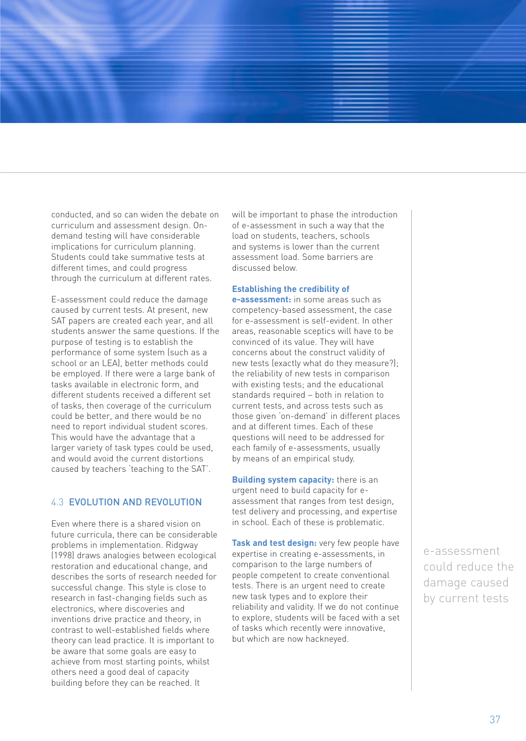conducted, and so can widen the debate on curriculum and assessment design. Ondemand testing will have considerable implications for curriculum planning. Students could take summative tests at different times, and could progress through the curriculum at different rates.

E-assessment could reduce the damage caused by current tests. At present, new SAT papers are created each year, and all students answer the same questions. If the purpose of testing is to establish the performance of some system (such as a school or an LEA), better methods could be employed. If there were a large bank of tasks available in electronic form, and different students received a different set of tasks, then coverage of the curriculum could be better, and there would be no need to report individual student scores. This would have the advantage that a larger variety of task types could be used, and would avoid the current distortions caused by teachers 'teaching to the SAT'.

## 4.3 EVOLUTION AND REVOLUTION

Even where there is a shared vision on future curricula, there can be considerable problems in implementation. Ridgway (1998) draws analogies between ecological restoration and educational change, and describes the sorts of research needed for successful change. This style is close to research in fast-changing fields such as electronics, where discoveries and inventions drive practice and theory, in contrast to well-established fields where theory can lead practice. It is important to be aware that some goals are easy to achieve from most starting points, whilst others need a good deal of capacity building before they can be reached. It

will be important to phase the introduction of e-assessment in such a way that the load on students, teachers, schools and systems is lower than the current assessment load. Some barriers are discussed below.

#### **Establishing the credibility of**

**e-assessment:** in some areas such as competency-based assessment, the case for e-assessment is self-evident. In other areas, reasonable sceptics will have to be convinced of its value. They will have concerns about the construct validity of new tests (exactly what do they measure?); the reliability of new tests in comparison with existing tests; and the educational standards required – both in relation to current tests, and across tests such as those given 'on-demand' in different places and at different times. Each of these questions will need to be addressed for each family of e-assessments, usually by means of an empirical study.

**Building system capacity:** there is an urgent need to build capacity for eassessment that ranges from test design, test delivery and processing, and expertise in school. Each of these is problematic.

**Task and test design:** very few people have expertise in creating e-assessments, in comparison to the large numbers of people competent to create conventional tests. There is an urgent need to create new task types and to explore their reliability and validity. If we do not continue to explore, students will be faced with a set of tasks which recently were innovative, but which are now hackneyed.

e-assessment could reduce the damage caused by current tests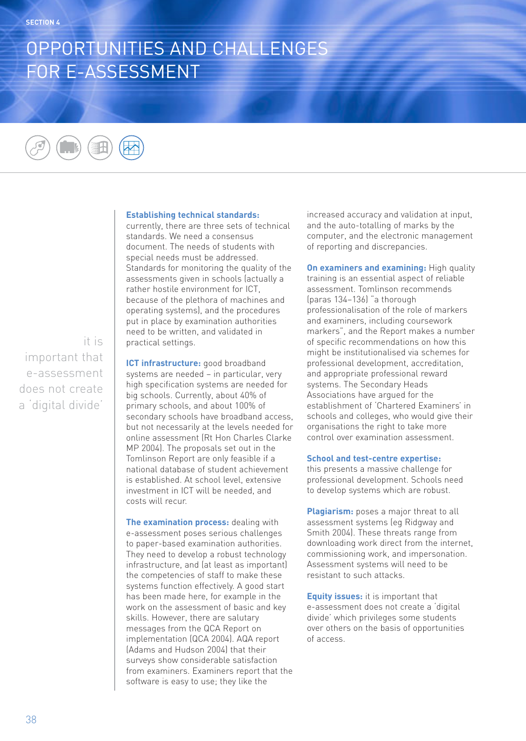# OPPORTUNITIES AND CHALLENGES FOR E-ASSESSMENT

#### **Establishing technical standards:**

currently, there are three sets of technical standards. We need a consensus document. The needs of students with special needs must be addressed. Standards for monitoring the quality of the assessments given in schools (actually a rather hostile environment for ICT, because of the plethora of machines and operating systems), and the procedures put in place by examination authorities need to be written, and validated in practical settings.

**ICT infrastructure:** good broadband systems are needed – in particular, very high specification systems are needed for big schools. Currently, about 40% of primary schools, and about 100% of secondary schools have broadband access, but not necessarily at the levels needed for online assessment (Rt Hon Charles Clarke MP 2004). The proposals set out in the Tomlinson Report are only feasible if a national database of student achievement is established. At school level, extensive investment in ICT will be needed, and costs will recur.

**The examination process:** dealing with e-assessment poses serious challenges to paper-based examination authorities. They need to develop a robust technology infrastructure, and (at least as important) the competencies of staff to make these systems function effectively. A good start has been made here, for example in the work on the assessment of basic and key skills. However, there are salutary messages from the QCA Report on implementation (QCA 2004). AQA report (Adams and Hudson 2004) that their surveys show considerable satisfaction from examiners. Examiners report that the software is easy to use; they like the

increased accuracy and validation at input, and the auto-totalling of marks by the computer, and the electronic management of reporting and discrepancies.

**On examiners and examining:** High quality training is an essential aspect of reliable assessment. Tomlinson recommends (paras 134–136) "a thorough professionalisation of the role of markers and examiners, including coursework markers", and the Report makes a number of specific recommendations on how this might be institutionalised via schemes for professional development, accreditation, and appropriate professional reward systems. The Secondary Heads Associations have argued for the establishment of 'Chartered Examiners' in schools and colleges, who would give their organisations the right to take more control over examination assessment.

#### **School and test-centre expertise:**

this presents a massive challenge for professional development. Schools need to develop systems which are robust.

**Plagiarism:** poses a major threat to all assessment systems (eg Ridgway and Smith 2004). These threats range from downloading work direct from the internet, commissioning work, and impersonation. Assessment systems will need to be resistant to such attacks.

**Equity issues:** it is important that e-assessment does not create a 'digital divide' which privileges some students over others on the basis of opportunities of access.

it is important that e-assessment does not create a 'digital divide'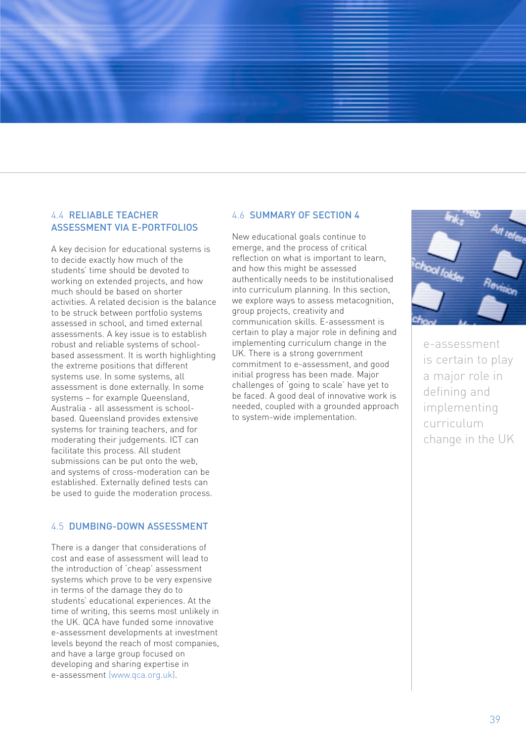## 4.4 RELIABLE TEACHER ASSESSMENT VIA E-PORTFOLIOS

A key decision for educational systems is to decide exactly how much of the students' time should be devoted to working on extended projects, and how much should be based on shorter activities. A related decision is the balance to be struck between portfolio systems assessed in school, and timed external assessments. A key issue is to establish robust and reliable systems of schoolbased assessment. It is worth highlighting the extreme positions that different systems use. In some systems, all assessment is done externally. In some systems – for example Queensland, Australia - all assessment is schoolbased. Queensland provides extensive systems for training teachers, and for moderating their judgements. ICT can facilitate this process. All student submissions can be put onto the web, and systems of cross-moderation can be established. Externally defined tests can be used to guide the moderation process.

### 4.5 DUMBING-DOWN ASSESSMENT

There is a danger that considerations of cost and ease of assessment will lead to the introduction of 'cheap' assessment systems which prove to be very expensive in terms of the damage they do to students' educational experiences. At the time of writing, this seems most unlikely in the UK. QCA have funded some innovative e-assessment developments at investment levels beyond the reach of most companies, and have a large group focused on developing and sharing expertise in e-assessment (www.qca.org.uk).

#### 4.6 SUMMARY OF SECTION 4

New educational goals continue to emerge, and the process of critical reflection on what is important to learn, and how this might be assessed authentically needs to be institutionalised into curriculum planning. In this section, we explore ways to assess metacognition, group projects, creativity and communication skills. E-assessment is certain to play a major role in defining and implementing curriculum change in the UK. There is a strong government commitment to e-assessment, and good initial progress has been made. Major challenges of 'going to scale' have yet to be faced. A good deal of innovative work is needed, coupled with a grounded approach to system-wide implementation.



e-assessment is certain to play a major role in defining and implementing curriculum change in the UK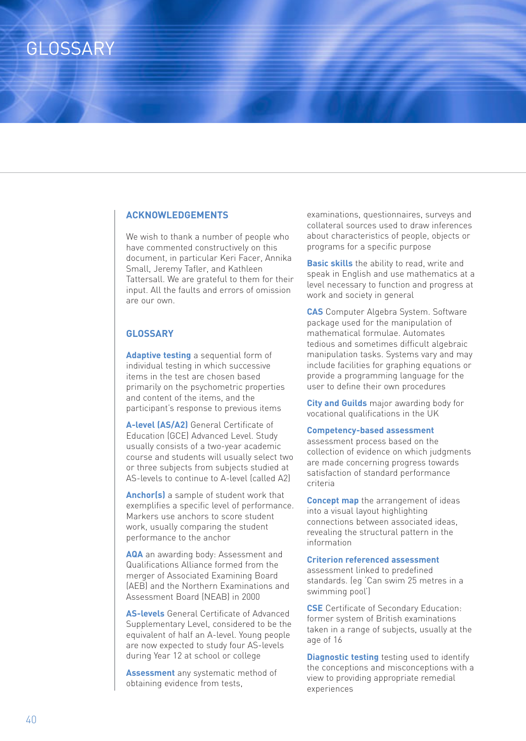## **GLOSSARY**

#### **ACKNOWLEDGEMENTS**

We wish to thank a number of people who have commented constructively on this document, in particular Keri Facer, Annika Small, Jeremy Tafler, and Kathleen Tattersall. We are grateful to them for their input. All the faults and errors of omission are our own.

### **GLOSSARY**

**Adaptive testing** a sequential form of individual testing in which successive items in the test are chosen based primarily on the psychometric properties and content of the items, and the participant's response to previous items

**A-level (AS/A2)** General Certificate of Education (GCE) Advanced Level. Study usually consists of a two-year academic course and students will usually select two or three subjects from subjects studied at AS-levels to continue to A-level (called A2)

**Anchor(s)** a sample of student work that exemplifies a specific level of performance. Markers use anchors to score student work, usually comparing the student performance to the anchor

**AQA** an awarding body: Assessment and Qualifications Alliance formed from the merger of Associated Examining Board (AEB) and the Northern Examinations and Assessment Board (NEAB) in 2000

**AS-levels** General Certificate of Advanced Supplementary Level, considered to be the equivalent of half an A-level. Young people are now expected to study four AS-levels during Year 12 at school or college

**Assessment** any systematic method of obtaining evidence from tests,

examinations, questionnaires, surveys and collateral sources used to draw inferences about characteristics of people, objects or programs for a specific purpose

**Basic skills** the ability to read, write and speak in English and use mathematics at a level necessary to function and progress at work and society in general

**CAS** Computer Algebra System. Software package used for the manipulation of mathematical formulae. Automates tedious and sometimes difficult algebraic manipulation tasks. Systems vary and may include facilities for graphing equations or provide a programming language for the user to define their own procedures

**City and Guilds** major awarding body for vocational qualifications in the UK

#### **Competency-based assessment**

assessment process based on the collection of evidence on which judgments are made concerning progress towards satisfaction of standard performance criteria

**Concept map** the arrangement of ideas into a visual layout highlighting connections between associated ideas, revealing the structural pattern in the information

#### **Criterion referenced assessment**

assessment linked to predefined standards. (eg 'Can swim 25 metres in a swimming pool')

**CSE** Certificate of Secondary Education: former system of British examinations taken in a range of subjects, usually at the age of 16

**Diagnostic testing** testing used to identify the conceptions and misconceptions with a view to providing appropriate remedial experiences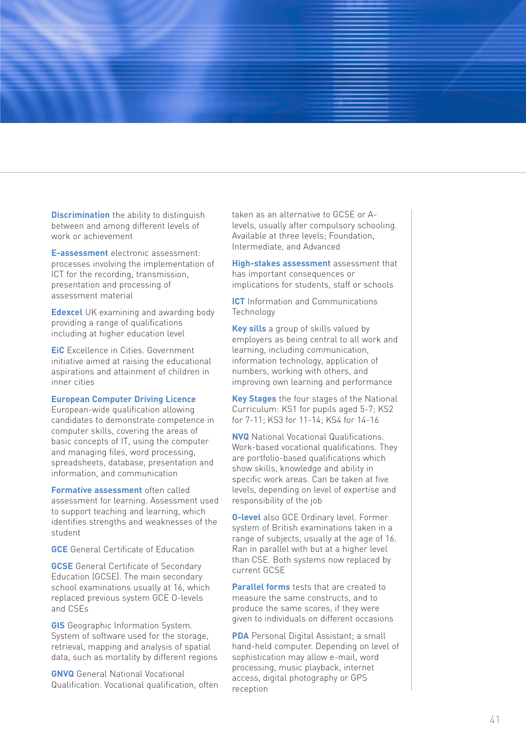**Discrimination** the ability to distinguish between and among different levels of work or achievement

**E-assessment** electronic assessment: processes involving the implementation of ICT for the recording, transmission, presentation and processing of assessment material

**Edexcel** UK examining and awarding body providing a range of qualifications including at higher education level

**EiC** Excellence in Cities. Government initiative aimed at raising the educational aspirations and attainment of children in inner cities

### **European Computer Driving Licence**

European-wide qualification allowing candidates to demonstrate competence in computer skills, covering the areas of basic concepts of IT, using the computer and managing files, word processing, spreadsheets, database, presentation and information, and communication

**Formative assessment** often called assessment for learning. Assessment used to support teaching and learning, which identifies strengths and weaknesses of the student

**GCE** General Certificate of Education

**GCSE** General Certificate of Secondary Education (GCSE). The main secondary school examinations usually at 16, which replaced previous system GCE O-levels and CSEs

**GIS** Geographic Information System. System of software used for the storage, retrieval, mapping and analysis of spatial data, such as mortality by different regions

**GNVQ** General National Vocational Qualification. Vocational qualification, often

ta ken as an alternative to GCSE or Alevels, usually after compulsory schooling. Available at three levels; Foundation, Intermediate, and Advanced

**High-stakes assessment** assessment that has important consequences or implications for students, staff or schools

**ICT** Information and Communications Technology

**Key sills** a group of skills valued by employers as being central to all work and learning, including communication, information technology, application of numbers, working with others, and improving own learning and performance

**Key Stages** the four stages of the National Curriculum: KS1 for pupils aged 5-7; KS2 for 7-11; KS3 for 11-14; KS4 for 14-16

**NVQ** National Vocational Qualifications. Work-based vocational qualifications. They are portfolio-based qualifications which show skills, knowledge and ability in specific work areas. Can be taken at five levels, depending on level of expertise and responsibility of the job

**O-level** also GCE Ordinary level. Former system of British examinations taken in a range of subjects, usually at the age of 16. Ran in parallel with but at a higher level than CSE. Both systems now replaced by current GCSE

**Parallel forms** tests that are created to measure the same constructs, and to produce the same scores, if they were given to individuals on different occasions

**PDA** Pe rsonal Digital Assistant; a small hand-held computer. Depending on level of sophistication may allow e-mail, word processing, music playback, internet access, digital photography or GPS re ception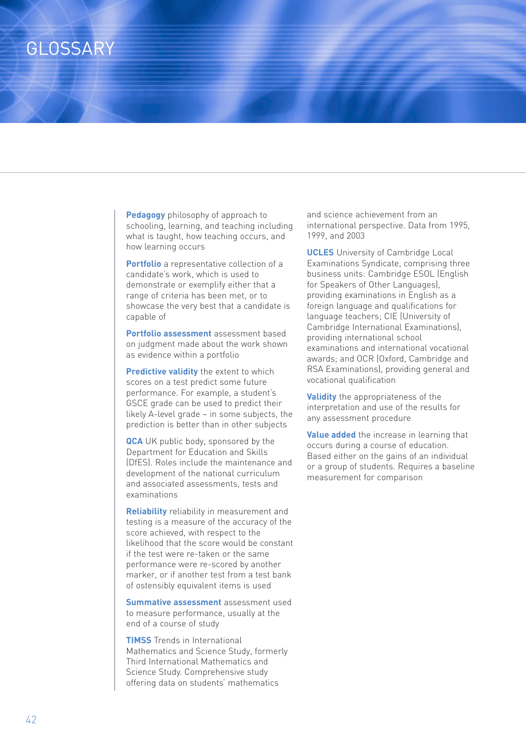## **GLOSSARY**

**Pedagogy** philosophy of approach to schooling, learning, and teaching including what is taught, how teaching occurs, and how learning occurs

**Portfolio** a representative collection of a candidate's work, which is used to demonstrate or exemplify either that a range of criteria has been met, or to showcase the very best that a candidate is capable of

**Portfolio assessment** assessment based on judgment made about the work shown as evidence within a portfolio

**Predictive validity** the extent to which scores on a test predict some future performance. For example, a student's GSCE grade can be used to predict their likely A-level grade – in some subjects, the prediction is better than in other subjects

**QCA** UK public body, sponsored by the Department for Education and Skills (DfES). Roles include the maintenance and development of the national curriculum and associated assessments, tests and examinations

**Reliability** reliability in measurement and testing is a measure of the accuracy of the score achieved, with respect to the likelihood that the score would be constant if the test were re-taken or the same performance were re-scored by another marker, or if another test from a test bank of ostensibly equivalent items is used

**Summative assessment** assessment used to measure performance, usually at the end of a course of study

**TIMSS** Trends in International Mathematics and Science Study, formerly Third International Mathematics and Science Study. Comprehensive study offering data on students' mathematics

and science achievement from an international perspective. Data from 1995, 1999, and 2003

**UCLES** University of Cambridge Local Examinations Syndicate, comprising three business units: Cambridge ESOL (English for Speakers of Other Languages), providing examinations in English as a foreign language and qualifications for language teachers; CIE (University of Cambridge International Examinations), providing international school examinations and international vocational awards; and OCR (Oxford, Cambridge and RSA Examinations), providing general and vocational qualification

**Validity** the appropriateness of the interpretation and use of the results for any assessment procedure

**Value added** the increase in learning that occurs during a course of education. Based either on the gains of an individual or a group of students. Requires a baseline measurement for comparison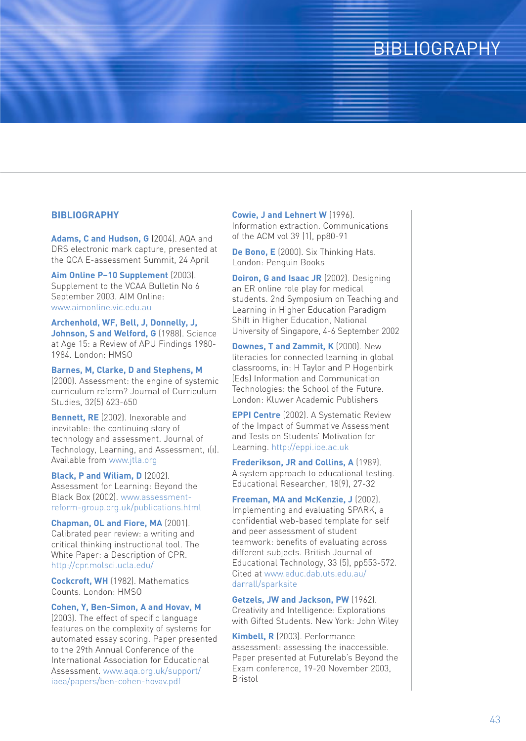## **BIBLIOGRAPHY**

#### **BIBLIOGRAPHY**

**Adams, C and Hudson, G** (2004). AQA and DRS electronic mark capture, presented at the QCA E-assessment Summit, 24 April

**Aim Online P–10 Supplement** (2003). Supplement to the VCAA Bulletin No 6 September 2003. AIM Online: www.aimonline.vic.edu.au

**Archenhold, WF, Bell, J, Donnelly, J,** Johnson, S and Welford, G (1988). Science at Age 15: a Review of APU Findings 1980- 1984. London: HMSO

**Barnes, M, Clarke, D and Stephens, M** (2000). Assessment: the engine of systemic curriculum reform? Journal of Curriculum Studies, 32(5) 623-650

**Bennett, RE** (2002). Inexorable and inevitable: the continuing story of technology and assessment. Journal of Technology, Learning, and Assessment, ı(ı). Available from www.jtla.org

**Black, P and Wiliam, D** (2002). Assessment for Learning: Beyond the Black Box (2002). www.assessmentreform-group.org.uk/publications.html

**Chapman, OL and Fiore, MA** (2001). Calibrated peer review: a writing and critical thinking instructional tool. The White Paper: a Description of CPR. http://cpr.molsci.ucla.edu/

**Cockcroft, WH** (1982). Mathematics Counts. London: HMSO

**Cohen, Y, Ben-Simon, A and Hovav, M**

(2003). The effect of specific language features on the complexity of systems for automated essay scoring. Paper presented to the 29th Annual Conference of the International Association for Educational Assessment. www.aqa.org.uk/support/ iaea/papers/ben-cohen-hovav.pdf

**Cowie, J and Lehnert W** (1996).

Information extraction. Communications of the ACM vol 39 (1), pp80-91

**De Bono, E** (2000). Six Thinking Hats. London: Penguin Books

**Doiron, G and Isaac JR** (2002). Designing an ER online role play for medical students. 2nd Symposium on Teaching and Learning in Higher Education Paradigm Shift in Higher Education, National University of Singapore, 4-6 September 2002

**Downes, T and Zammit, K (2000). New** literacies for connected learning in global classrooms, in: H Taylor and P Hogenbirk (Eds) Information and Communication Technologies: the School of the Future. London: Kluwer Academic Publishers

**EPPI Centre** (2002). A Systematic Review of the Impact of Summative Assessment and Tests on Students' Motivation for Learning. http://eppi.ioe.ac.uk

**Frederikson, JR and Collins, A** (1989). A system approach to educational testing. Educational Researcher, 18(9), 27-32

**Freeman, MA and McKenzie, J** (2002). Implementing and evaluating SPARK, a confidential web-based template for self and peer assessment of student teamwork: benefits of evaluating across different subjects. British Journal of Educational Technology, 33 (5), pp553-572. Cited at www.educ.dab.uts.edu.au/ darrall/sparksite

**Getzels, JW and Jackson, PW** (1962). Creativity and Intelligence: Explorations with Gifted Students. New York: John Wiley

**Kimbell, R** (2003). Performance assessment: assessing the inaccessible. Paper presented at Futurelab's Beyond the Exam conference, 19-20 November 2003, Bristol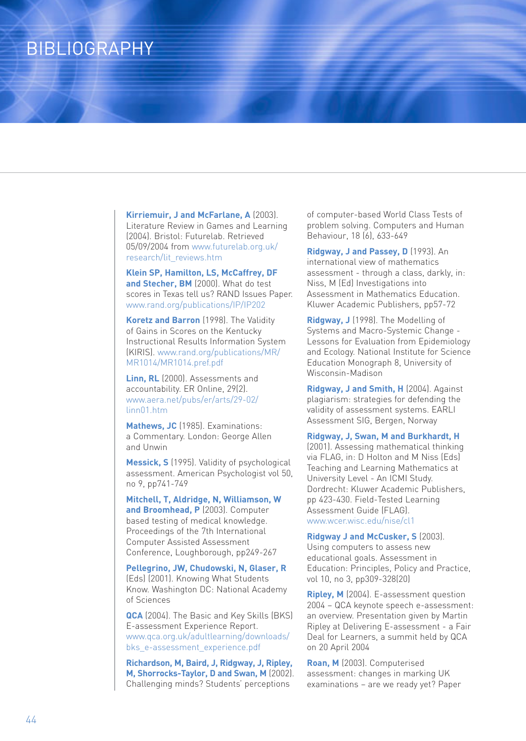## BIBLIOGRAPHY

**Kirriemuir, J and McFarlane, A** (2003). Literature Review in Games and Learning (2004). Bristol: Futurelab. Retrieved 05/09/2004 from www.futurelab.org.uk/ research/lit\_reviews.htm

**Klein SP, Hamilton, LS, McCaffrey, DF and Stecher, BM** (2000). What do test scores in Texas tell us? RAND Issues Paper. www.rand.org/publications/IP/IP202

**Koretz and Barron** (1998). The Validity of Gains in Scores on the Kentucky Instructional Results Information System (KIRIS). www.rand.org/publications/MR/ MR1014/MR1014.pref.pdf

**Linn, RL** (2000). Assessments and accountability. ER Online, 29(2). www.aera.net/pubs/er/arts/29-02/ linn01.htm

Mathews, JC (1985). Examinations: a Commentary. London: George Allen and Unwin

**Messick, S** (1995). Validity of psychological assessment. American Psychologist vol 50, no 9, pp741-749

**Mitchell, T, Aldridge, N, Williamson, W and Broomhead, P** (2003). Computer based testing of medical knowledge. Proceedings of the 7th International Computer Assisted Assessment Conference, Loughborough, pp249-267

**Pellegrino, JW, Chudowski, N, Glaser, R** (Eds) (2001). Knowing What Students Know. Washington DC: National Academy of Sciences

**QCA** (2004). The Basic and Key Skills (BKS) E-assessment Experience Report. www.qca.org.uk/adultlearning/downloads/ bks\_e-assessment\_experience.pdf

**Richardson, M, Baird, J, Ridgway, J, Ripley, M, Shorrocks-Taylor, D and Swan, M** (2002). Challenging minds? Students' perceptions

of computer-based World Class Tests of problem solving. Computers and Human Behaviour, 18 (6), 633-649

**Ridgway, J and Passey, D** (1993). An international view of mathematics assessment - through a class, darkly, in: Niss, M (Ed) Investigations into Assessment in Mathematics Education. Kluwer Academic Publishers, pp57-72

**Ridgway, J** (1998). The Modelling of Systems and Macro-Systemic Change - Lessons for Evaluation from Epidemiology and Ecology. National Institute for Science Education Monograph 8, University of Wisconsin-Madison

**Ridgway, J and Smith, H** (2004). Against plagiarism: strategies for defending the validity of assessment systems. EARLI Assessment SIG, Bergen, Norway

**Ridgway, J, Swan, M and Burkhardt, H**

(2001). Assessing mathematical thinking via FLAG, in: D Holton and M Niss (Eds) Teaching and Learning Mathematics at University Level - An ICMI Study. Dordrecht: Kluwer Academic Publishers, pp 423-430. Field-Tested Learning Assessment Guide (FLAG). www.wcer.wisc.edu/nise/cl1

**Ridgway J and McCusker, S** (2003). Using computers to assess new educational goals. Assessment in Education: Principles, Policy and Practice, vol 10, no 3, pp309-328(20)

**Ripley, M** (2004). E-assessment question 2004 – QCA keynote speech e-assessment: an overview. Presentation given by Martin Ripley at Delivering E-assessment - a Fair Deal for Learners, a summit held by QCA on 20 April 2004

**Roan, M** (2003). Computerised assessment: changes in marking UK examinations – are we ready yet? Paper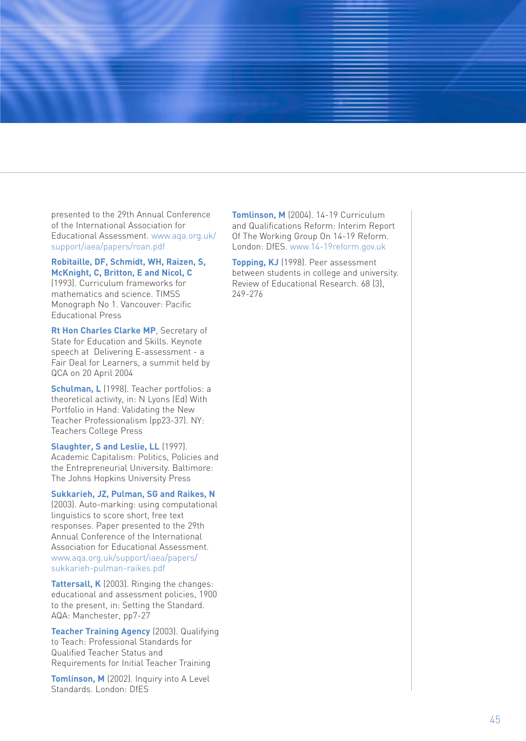presented to the 29th Annual Conference of the International Association for Educational Assessment. www.aqa.org.uk/ support/iaea/papers/roan.pdf

**Robitaille, DF, Schmidt, WH, Raizen, S, McKnight, C, Britton, E and Nicol, C** (1993). Curriculum frameworks for mathematics and science. TIMSS Monograph No 1. Vancouver: Pacific

Educational Press

**Rt Hon Charles Clarke MP**, Secretary of State for Education and Skills. Keynote speech at Delivering E-assessment - a Fair Deal for Learners, a summit held by QCA on 20 April 2004

**Schulman, L** (1998). Teacher portfolios: a theoretical activity, in: N Lyons (Ed) With Portfolio in Hand: Validating the New Teacher Professionalism (pp23-37). NY: Teachers College Press

**Slaughter, S and Leslie, LL** (1997). Academic Capitalism: Politics, Policies and the Entrepreneurial University. Baltimore: The Johns Hopkins University Press

**Sukkarieh, JZ, Pulman, SG and Raikes, N**

(2003). Auto-marking: using computational linguistics to score short, free text responses. Paper presented to the 29th Annual Conference of the International Association for Educational Assessment. www.aqa.org.uk/support/iaea/papers/ sukkarieh-pulman-raikes.pdf

**Tattersall, K** (2003). Ringing the changes: educational and assessment policies, 1900 to the present, in: Setting the Standard. AQA: Manchester, pp7-27

**Teacher Training Agency** (2003). Qualifying to Teach: Professional Standards for Qualified Teacher Status and Requirements for Initial Teacher Training

**Tomlinson, M** (2002). Inquiry into A Level Standards. London: DfES

**Tomlinson, M** (2004). 14-19 Curriculum and Qualifications Reform: Interim Report Of The Working Group On 14-19 Reform. London: DfES. www.14-19reform.gov.uk

**Topping, KJ** (1998). Peer assessment between students in college and university. Review of Educational Research. 68 (3), 249-276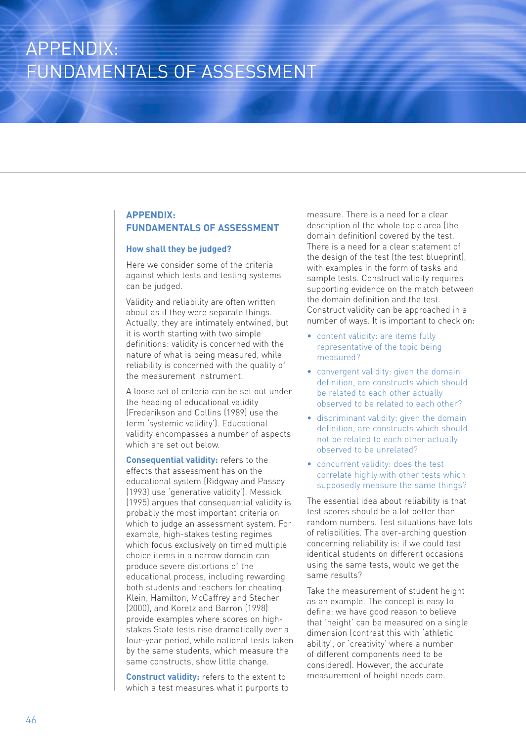## APPENDIX: FUNDAMENTALS OF ASSESSMENT

### **APPENDIX: FUNDAMENTALS OF ASSESSMENT**

#### **How shall they be judged?**

Here we consider some of the criteria against which tests and testing systems can be judged.

Validity and reliability are often written about as if they were separate things. Actually, they are intimately entwined, but it is worth starting with two simple definitions: validity is concerned with the nature of what is being measured, while reliability is concerned with the quality of the measurement instrument.

A loose set of criteria can be set out under the heading of educational validity (Frederikson and Collins (1989) use the term 'systemic validity'). Educational validity encompasses a number of aspects which are set out below.

**Consequential validity:** refers to the effects that assessment has on the educational system (Ridgway and Passey (1993) use 'generative validity'). Messick (1995) argues that consequential validity is probably the most important criteria on which to judge an assessment system. For example, high-stakes testing regimes which focus exclusively on timed multiple choice items in a narrow domain can produce severe distortions of the educational process, including rewarding both students and teachers for cheating. Klein, Hamilton, McCaffrey and Stecher (2000), and Koretz and Barron (1998) provide examples where scores on highstakes State tests rise dramatically over a four-year period, while national tests taken by the same students, which measure the same constructs, show little change.

**Construct validity:** refers to the extent to which a test measures what it purports to measure. There is a need for a clear description of the whole topic area (the domain definition) covered by the test. There is a need for a clear statement of the design of the test (the test blueprint), with examples in the form of tasks and sample tests. Construct validity requires supporting evidence on the match between the domain definition and the test. Construct validity can be approached in a number of ways. It is important to check on:

- content validity: are items fully representative of the topic being measured?
- convergent validity: given the domain definition, are constructs which should be related to each other actually observed to be related to each other?
- discriminant validity: given the domain definition, are constructs which should not be related to each other actually observed to be unrelated?
- concurrent validity: does the test correlate highly with other tests which supposedly measure the same things?

The essential idea about reliability is that test scores should be a lot better than random numbers. Test situations have lots of reliabilities. The over-arching question concerning reliability is: if we could test identical students on different occasions using the same tests, would we get the same results?

Take the measurement of student height as an example. The concept is easy to define; we have good reason to believe that 'height' can be measured on a single dimension (contrast this with 'athletic ability', or 'creativity' where a number of different components need to be considered). However, the accurate measurement of height needs care.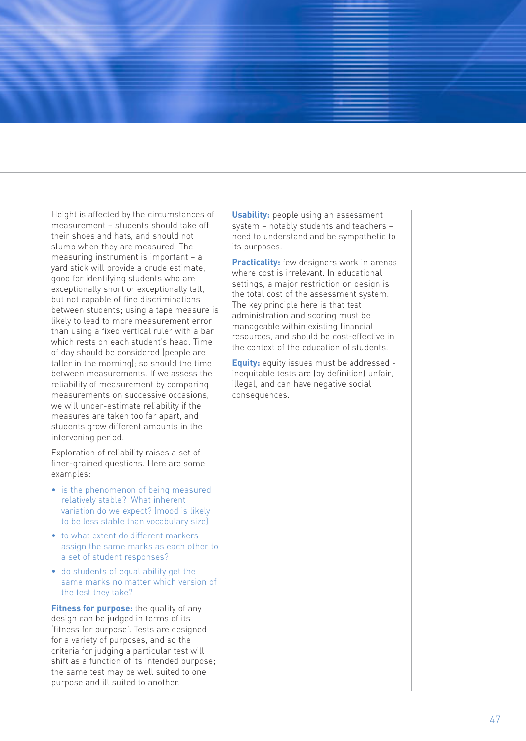Height is affected by the circumstances of measurement – students should take off their shoes and hats, and should not slump when they are measured. The measuring instrument is important – a yard stick will provide a crude estimate, good for identifying students who are exceptionally short or exceptionally tall, but not capable of fine discriminations between students; using a tape measure is likely to lead to more measurement error than using a fixed vertical ruler with a bar which rests on each student's head. Time of day should be considered (people are taller in the morning); so should the time between measurements. If we assess the reliability of measurement by comparing measurements on successive occasions, we will under-estimate reliability if the measures are taken too far apart, and students grow different amounts in the intervening period.

Exploration of reliability raises a set of finer-grained questions. Here are some examples:

- is the phenomenon of being measured relatively stable? What inherent variation do we expect? (mood is likely to be less stable than vocabulary size)
- to what extent do different markers assign the same marks as each other to a set of student responses?
- do students of equal ability get the same marks no matter which version of the test they take?

**Fitness for purpose:** the quality of any design can be judged in terms of its 'fitness for purpose'. Tests are designed for a variety of purposes, and so the criteria for judging a particular test will shift as a function of its intended purpose; the same test may be well suited to one purpose and ill suited to another.

**Usability:** people using an assessment system – notably students and teachers – need to understand and be sympathetic to its purposes.

**Practicality:** few designers work in arenas where cost is irrelevant. In educational settings, a major restriction on design is the total cost of the assessment system. The key principle here is that test administration and scoring must be manageable within existing financial resources, and should be cost-effective in the context of the education of students.

**Equity:** equity issues must be addressed inequitable tests are (by definition) unfair, illegal, and can have negative social consequences.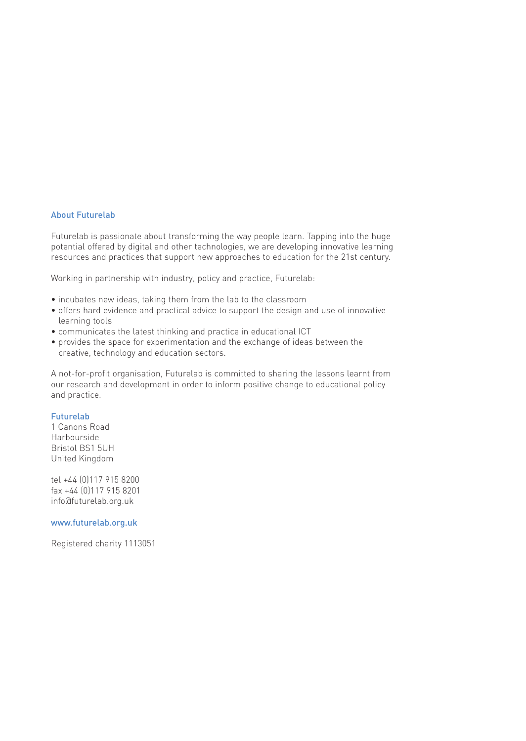#### About Futurelab

Futurelab is passionate about transforming the way people learn. Tapping into the huge potential offered by digital and other technologies, we are developing innovative learning resources and practices that support new approaches to education for the 21st century.

Working in partnership with industry, policy and practice, Futurelab:

- incubates new ideas, taking them from the lab to the classroom
- offers hard evidence and practical advice to support the design and use of innovative learning tools
- communicates the latest thinking and practice in educational ICT
- provides the space for experimentation and the exchange of ideas between the creative, technology and education sectors.

A not-for-profit organisation, Futurelab is committed to sharing the lessons learnt from our research and development in order to inform positive change to educational policy and practice.

#### Futurelab

1 Canons Road Harbourside Bristol BS1 5UH United Kingdom

tel +44 (0)117 915 8200 fax +44 (0)117 915 8201 info@futurelab.org.uk

www.futurelab.org.uk

Registered charity 1113051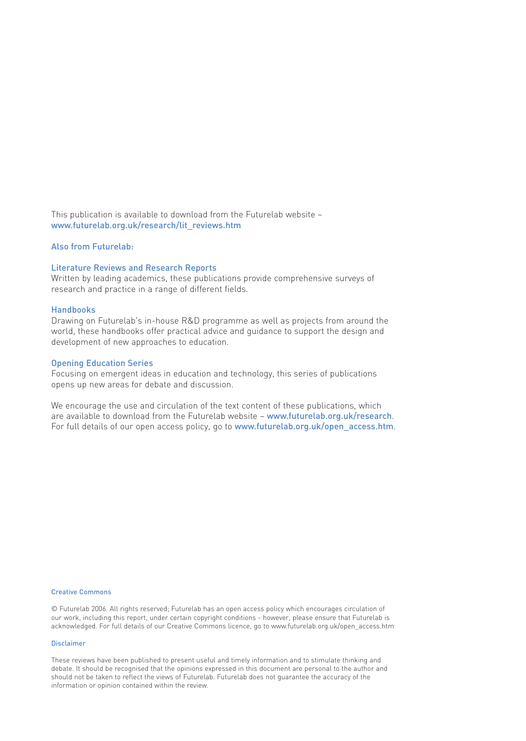This publication is available to download from the Futurelab website – www.futurelab.org.uk/research/lit\_reviews.htm

#### Also from Futurelab:

#### Literature Reviews and Research Reports

Written by leading academics, these publications provide comprehensive surveys of research and practice in a range of different fields.

#### Handbooks

Drawing on Futurelab's in-house R&D programme as well as projects from around the world, these handbooks offer practical advice and guidance to support the design and development of new approaches to education.

#### Opening Education Series

Focusing on emergent ideas in education and technology, this series of publications opens up new areas for debate and discussion.

We encourage the use and circulation of the text content of these publications, which are available to download from the Futurelab website - www.futurelab.org.uk/research. For full details of our open access policy, go to www.futurelab.org.uk/open\_access.htm.

#### Creative Commons

© Futurelab 2006. All rights reserved; Futurelab has an open access policy which encourages circulation of our work, including this report, under certain copyright conditions - however, please ensure that Futurelab is acknowledged. For full details of our Creative Commons licence, go to www.futurelab.org.uk/open\_access.htm

#### Disclaimer

These reviews have been published to present useful and timely information and to stimulate thinking and debate. It should be recognised that the opinions expressed in this document are personal to the author and should not be taken to reflect the views of Futurelab. Futurelab does not guarantee the accuracy of the information or opinion contained within the review.